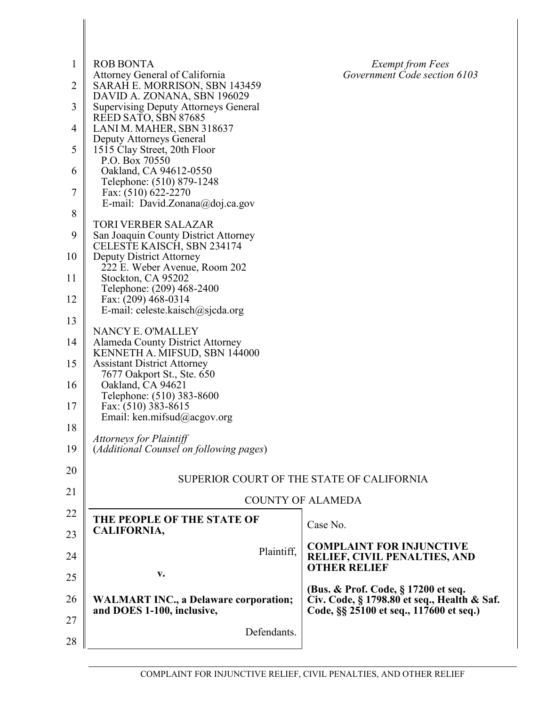| $\mathbf{1}$   | <b>ROB BONTA</b>                                                           | <b>Exempt from Fees</b>                                                                                                       |  |
|----------------|----------------------------------------------------------------------------|-------------------------------------------------------------------------------------------------------------------------------|--|
| $\overline{2}$ | Attorney General of California<br>SARAH E. MORRISON, SBN 143459            | Government Code section 6103                                                                                                  |  |
| 3              | DAVID A. ZONANA, SBN 196029<br><b>Supervising Deputy Attorneys General</b> |                                                                                                                               |  |
| $\overline{4}$ | REED SATO, SBN 87685<br>LANI M. MAHER, SBN 318637                          |                                                                                                                               |  |
| 5              | Deputy Attorneys General<br>1515 Clay Street, 20th Floor                   |                                                                                                                               |  |
|                | P.O. Box 70550                                                             |                                                                                                                               |  |
| 6              | Oakland, CA 94612-0550<br>Telephone: (510) 879-1248                        |                                                                                                                               |  |
| 7              | Fax: (510) 622-2270<br>E-mail: David.Zonana@doj.ca.gov                     |                                                                                                                               |  |
| 8              | <b>TORI VERBER SALAZAR</b>                                                 |                                                                                                                               |  |
| 9              | San Joaquin County District Attorney<br>CELESTE KAISCH, SBN 234174         |                                                                                                                               |  |
| 10             | <b>Deputy District Attorney</b>                                            |                                                                                                                               |  |
| 11             | 222 E. Weber Avenue, Room 202<br>Stockton, CA 95202                        |                                                                                                                               |  |
| 12             | Telephone: (209) 468-2400<br>Fax: (209) 468-0314                           |                                                                                                                               |  |
| 13             | E-mail: celeste.kaisch $@$ sjcda.org                                       |                                                                                                                               |  |
| 14             | NANCY E. O'MALLEY<br>Alameda County District Attorney                      |                                                                                                                               |  |
| 15             | KENNETH A. MIFSUD, SBN 144000<br><b>Assistant District Attorney</b>        |                                                                                                                               |  |
| 16             | 7677 Oakport St., Ste. 650<br>Oakland, CA 94621                            |                                                                                                                               |  |
|                | Telephone: (510) 383-8600                                                  |                                                                                                                               |  |
| 17             | Fax: (510) 383-8615<br>Email: ken.mifsud@acgov.org                         |                                                                                                                               |  |
| 18             | <b>Attorneys for Plaintiff</b>                                             |                                                                                                                               |  |
| 19             | (Additional Counsel on following pages)                                    |                                                                                                                               |  |
| 20             |                                                                            | SUPERIOR COURT OF THE STATE OF CALIFORNIA                                                                                     |  |
| 21             | <b>COUNTY OF ALAMEDA</b>                                                   |                                                                                                                               |  |
| 22             | THE PEOPLE OF THE STATE OF                                                 | Case No.                                                                                                                      |  |
| 23             | CALIFORNIA,                                                                |                                                                                                                               |  |
| 24             | Plaintiff,                                                                 | <b>COMPLAINT FOR INJUNCTIVE</b><br>RELIEF, CIVIL PENALTIES, AND                                                               |  |
| 25             | v.                                                                         | <b>OTHER RELIEF</b>                                                                                                           |  |
| 26             | <b>WALMART INC., a Delaware corporation;</b><br>and DOES 1-100, inclusive, | (Bus. & Prof. Code, § 17200 et seq.<br>Civ. Code, § 1798.80 et seq., Health & Saf.<br>Code, §§ 25100 et seq., 117600 et seq.) |  |
| 27<br>28       | Defendants.                                                                |                                                                                                                               |  |
|                |                                                                            |                                                                                                                               |  |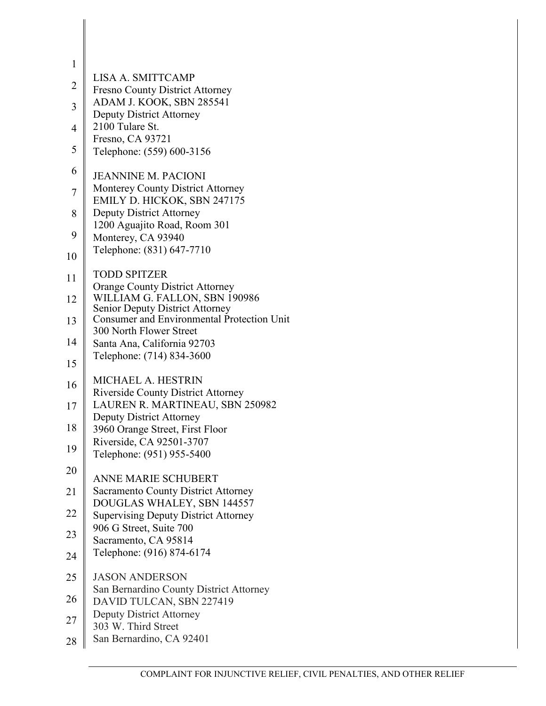| 1              |                                                                          |
|----------------|--------------------------------------------------------------------------|
| $\overline{c}$ | LISA A. SMITTCAMP<br><b>Fresno County District Attorney</b>              |
| $\overline{3}$ | ADAM J. KOOK, SBN 285541<br><b>Deputy District Attorney</b>              |
| $\overline{4}$ | 2100 Tulare St.                                                          |
| 5              | Fresno, CA 93721<br>Telephone: (559) 600-3156                            |
| 6              | <b>JEANNINE M. PACIONI</b>                                               |
| $\overline{7}$ | Monterey County District Attorney<br>EMILY D. HICKOK, SBN 247175         |
| 8              | <b>Deputy District Attorney</b><br>1200 Aguajito Road, Room 301          |
| 9              | Monterey, CA 93940                                                       |
| 10             | Telephone: (831) 647-7710                                                |
| 11             | <b>TODD SPITZER</b><br><b>Orange County District Attorney</b>            |
| 12             | WILLIAM G. FALLON, SBN 190986<br>Senior Deputy District Attorney         |
| 13             | Consumer and Environmental Protection Unit<br>300 North Flower Street    |
| 14             | Santa Ana, California 92703                                              |
| 15             | Telephone: (714) 834-3600                                                |
| 16             | MICHAEL A. HESTRIN<br><b>Riverside County District Attorney</b>          |
| 17             | LAUREN R. MARTINEAU, SBN 250982<br><b>Deputy District Attorney</b>       |
| 18             | 3960 Orange Street, First Floor                                          |
| 19             | Riverside, CA 92501-3707<br>Telephone: (951) 955-5400                    |
| 20             | <b>ANNE MARIE SCHUBERT</b>                                               |
| 21             | <b>Sacramento County District Attorney</b><br>DOUGLAS WHALEY, SBN 144557 |
| <u>22</u>      | <b>Supervising Deputy District Attorney</b>                              |
| 23             | 906 G Street, Suite 700<br>Sacramento, CA 95814                          |
| 24             | Telephone: (916) 874-6174                                                |
| 25             | <b>JASON ANDERSON</b><br>San Bernardino County District Attorney         |
| 26             | DAVID TULCAN, SBN 227419                                                 |
| 27             | <b>Deputy District Attorney</b><br>303 W. Third Street                   |
| 28             | San Bernardino, CA 92401                                                 |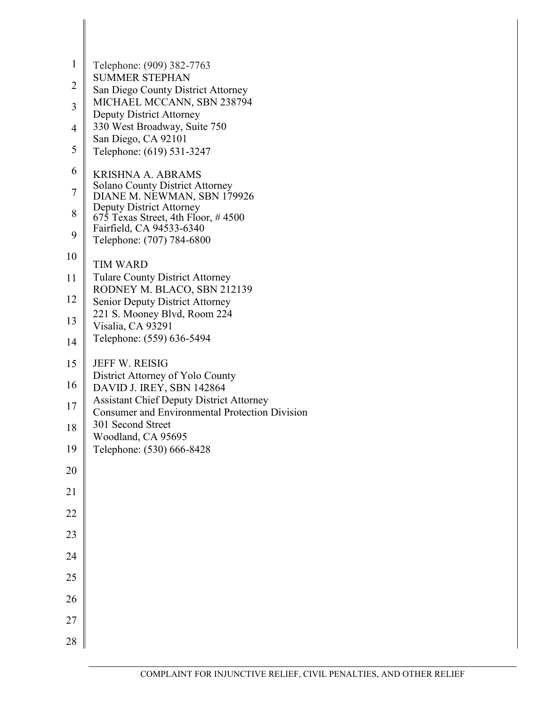| $\mathbf{1}$   | Telephone: (909) 382-7763                                                                                |
|----------------|----------------------------------------------------------------------------------------------------------|
| $\overline{2}$ | <b>SUMMER STEPHAN</b><br>San Diego County District Attorney                                              |
| 3              | MICHAEL MCCANN, SBN 238794                                                                               |
| 4              | <b>Deputy District Attorney</b><br>330 West Broadway, Suite 750                                          |
| 5              | San Diego, CA 92101                                                                                      |
|                | Telephone: (619) 531-3247                                                                                |
| 6              | <b>KRISHNA A. ABRAMS</b><br><b>Solano County District Attorney</b>                                       |
| $\overline{7}$ | DIANE M. NEWMAN, SBN 179926<br><b>Deputy District Attorney</b>                                           |
| 8              | 675 Texas Street, 4th Floor, #4500<br>Fairfield, CA 94533-6340                                           |
| 9              | Telephone: (707) 784-6800                                                                                |
| 10             | TIM WARD                                                                                                 |
| 11             | <b>Tulare County District Attorney</b><br>RODNEY M. BLACO, SBN 212139                                    |
| 12             | <b>Senior Deputy District Attorney</b>                                                                   |
| 13             | 221 S. Mooney Blvd, Room 224<br>Visalia, CA 93291                                                        |
| 14             | Telephone: (559) 636-5494                                                                                |
| 15             | <b>JEFF W. REISIG</b>                                                                                    |
| 16             | District Attorney of Yolo County<br>DAVID J. IREY, SBN 142864                                            |
| 17             | <b>Assistant Chief Deputy District Attorney</b><br><b>Consumer and Environmental Protection Division</b> |
| 18             | 301 Second Street                                                                                        |
| 19             | Woodland, CA 95695<br>Telephone: (530) 666-8428                                                          |
| $20\,$         |                                                                                                          |
| 21             |                                                                                                          |
| $22\,$         |                                                                                                          |
| 23             |                                                                                                          |
| 24             |                                                                                                          |
| 25             |                                                                                                          |
| 26             |                                                                                                          |
| $27\,$         |                                                                                                          |
| 28             |                                                                                                          |
|                |                                                                                                          |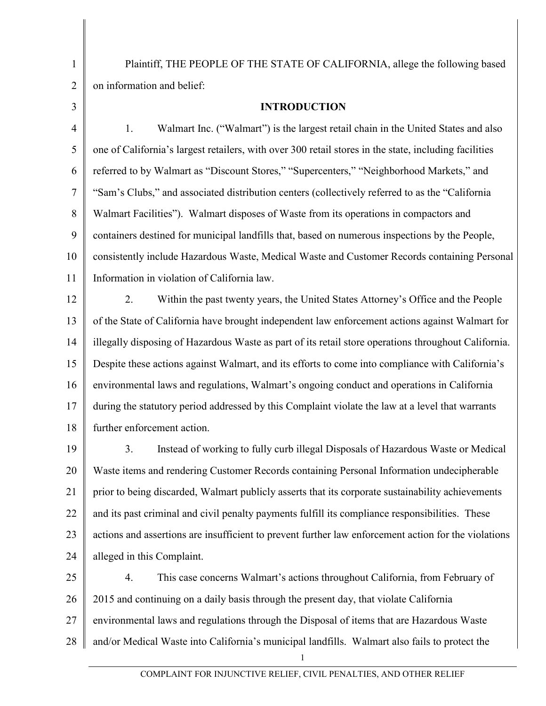Plaintiff, THE PEOPLE OF THE STATE OF CALIFORNIA, allege the following based on information and belief:

**INTRODUCTION**

4 5 6 7 8 9 10 11 1. Walmart Inc. ("Walmart") is the largest retail chain in the United States and also one of California's largest retailers, with over 300 retail stores in the state, including facilities referred to by Walmart as "Discount Stores," "Supercenters," "Neighborhood Markets," and "Sam's Clubs," and associated distribution centers (collectively referred to as the "California Walmart Facilities"). Walmart disposes of Waste from its operations in compactors and containers destined for municipal landfills that, based on numerous inspections by the People, consistently include Hazardous Waste, Medical Waste and Customer Records containing Personal Information in violation of California law.

12 13 14 15 16 17 18 2. Within the past twenty years, the United States Attorney's Office and the People of the State of California have brought independent law enforcement actions against Walmart for illegally disposing of Hazardous Waste as part of its retail store operations throughout California. Despite these actions against Walmart, and its efforts to come into compliance with California's environmental laws and regulations, Walmart's ongoing conduct and operations in California during the statutory period addressed by this Complaint violate the law at a level that warrants further enforcement action.

19 20 21 22 23 24 3. Instead of working to fully curb illegal Disposals of Hazardous Waste or Medical Waste items and rendering Customer Records containing Personal Information undecipherable prior to being discarded, Walmart publicly asserts that its corporate sustainability achievements and its past criminal and civil penalty payments fulfill its compliance responsibilities. These actions and assertions are insufficient to prevent further law enforcement action for the violations alleged in this Complaint.

25 26 27 28 4. This case concerns Walmart's actions throughout California, from February of 2015 and continuing on a daily basis through the present day, that violate California environmental laws and regulations through the Disposal of items that are Hazardous Waste and/or Medical Waste into California's municipal landfills. Walmart also fails to protect the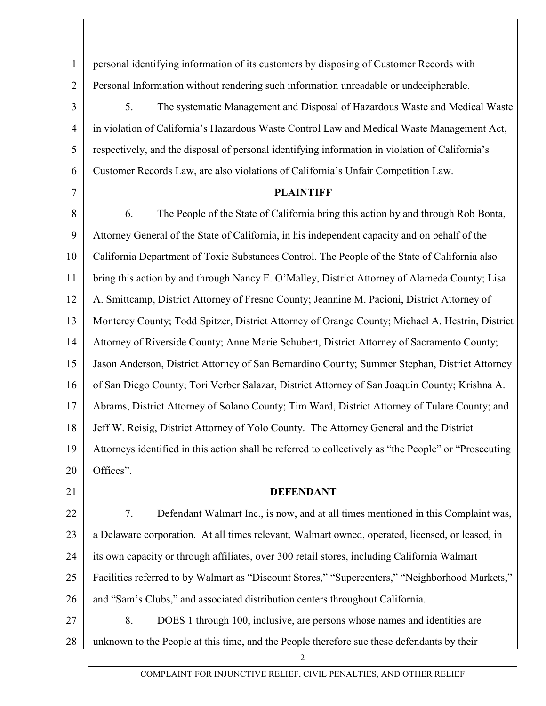1 2 3 4 5 personal identifying information of its customers by disposing of Customer Records with Personal Information without rendering such information unreadable or undecipherable. 5. The systematic Management and Disposal of Hazardous Waste and Medical Waste in violation of California's Hazardous Waste Control Law and Medical Waste Management Act, respectively, and the disposal of personal identifying information in violation of California's

- Customer Records Law, are also violations of California's Unfair Competition Law.
- 7

6

## **PLAINTIFF**

8 9 10 11 12 13 14 15 16 17 18 19 20 6. The People of the State of California bring this action by and through Rob Bonta, Attorney General of the State of California, in his independent capacity and on behalf of the California Department of Toxic Substances Control. The People of the State of California also bring this action by and through Nancy E. O'Malley, District Attorney of Alameda County; Lisa A. Smittcamp, District Attorney of Fresno County; Jeannine M. Pacioni, District Attorney of Monterey County; Todd Spitzer, District Attorney of Orange County; Michael A. Hestrin, District Attorney of Riverside County; Anne Marie Schubert, District Attorney of Sacramento County; Jason Anderson, District Attorney of San Bernardino County; Summer Stephan, District Attorney of San Diego County; Tori Verber Salazar, District Attorney of San Joaquin County; Krishna A. Abrams, District Attorney of Solano County; Tim Ward, District Attorney of Tulare County; and Jeff W. Reisig, District Attorney of Yolo County. The Attorney General and the District Attorneys identified in this action shall be referred to collectively as "the People" or "Prosecuting Offices".

21

## **DEFENDANT**

22 23 24 25 26 7. Defendant Walmart Inc., is now, and at all times mentioned in this Complaint was, a Delaware corporation. At all times relevant, Walmart owned, operated, licensed, or leased, in its own capacity or through affiliates, over 300 retail stores, including California Walmart Facilities referred to by Walmart as "Discount Stores," "Supercenters," "Neighborhood Markets," and "Sam's Clubs," and associated distribution centers throughout California.

27 28 8. DOES 1 through 100, inclusive, are persons whose names and identities are unknown to the People at this time, and the People therefore sue these defendants by their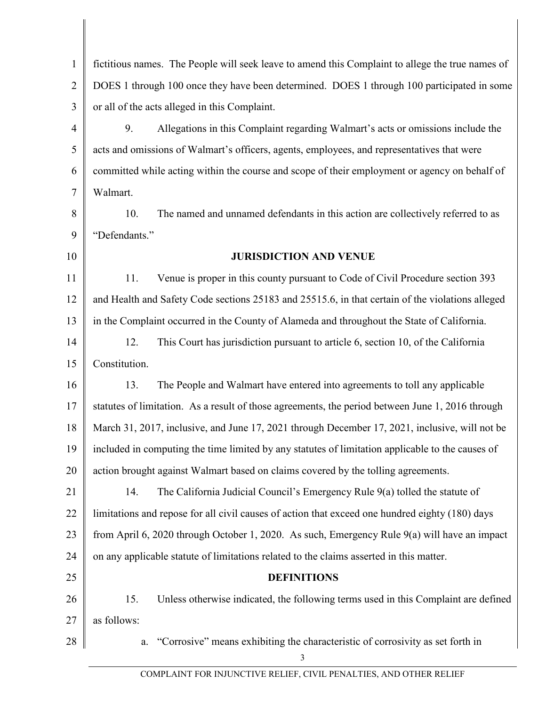| $\mathbf{1}$   | fictitious names. The People will seek leave to amend this Complaint to allege the true names of |  |
|----------------|--------------------------------------------------------------------------------------------------|--|
| $\overline{2}$ | DOES 1 through 100 once they have been determined. DOES 1 through 100 participated in some       |  |
| $\overline{3}$ | or all of the acts alleged in this Complaint.                                                    |  |
| $\overline{4}$ | 9.<br>Allegations in this Complaint regarding Walmart's acts or omissions include the            |  |
| 5              | acts and omissions of Walmart's officers, agents, employees, and representatives that were       |  |
| 6              | committed while acting within the course and scope of their employment or agency on behalf of    |  |
| $\overline{7}$ | Walmart.                                                                                         |  |
| 8              | The named and unnamed defendants in this action are collectively referred to as<br>10.           |  |
| 9              | "Defendants."                                                                                    |  |
| 10             | <b>JURISDICTION AND VENUE</b>                                                                    |  |
| 11             | Venue is proper in this county pursuant to Code of Civil Procedure section 393<br>11.            |  |
| 12             | and Health and Safety Code sections 25183 and 25515.6, in that certain of the violations alleged |  |
| 13             | in the Complaint occurred in the County of Alameda and throughout the State of California.       |  |
| 14             | This Court has jurisdiction pursuant to article 6, section 10, of the California<br>12.          |  |
| 15             | Constitution.                                                                                    |  |
| 16             | The People and Walmart have entered into agreements to toll any applicable<br>13.                |  |
| 17             | statutes of limitation. As a result of those agreements, the period between June 1, 2016 through |  |
| 18             | March 31, 2017, inclusive, and June 17, 2021 through December 17, 2021, inclusive, will not be   |  |
| 19             | included in computing the time limited by any statutes of limitation applicable to the causes of |  |
| 20             | action brought against Walmart based on claims covered by the tolling agreements.                |  |
| 21             | 14.<br>The California Judicial Council's Emergency Rule 9(a) tolled the statute of               |  |
| 22             | limitations and repose for all civil causes of action that exceed one hundred eighty (180) days  |  |
| 23             | from April 6, 2020 through October 1, 2020. As such, Emergency Rule 9(a) will have an impact     |  |
| 24             | on any applicable statute of limitations related to the claims asserted in this matter.          |  |
| 25             | <b>DEFINITIONS</b>                                                                               |  |
| 26             | 15.<br>Unless otherwise indicated, the following terms used in this Complaint are defined        |  |
| 27             | as follows:                                                                                      |  |
| 28             | "Corrosive" means exhibiting the characteristic of corrosivity as set forth in<br>a.<br>3        |  |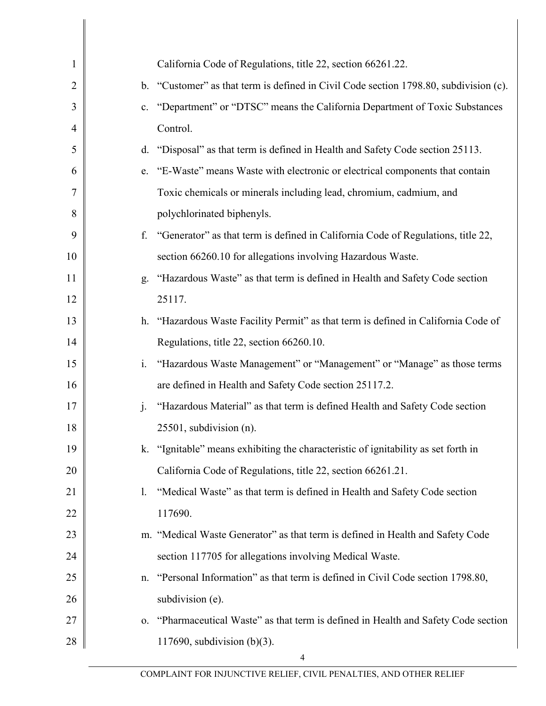| $\mathbf{1}$   |                | California Code of Regulations, title 22, section 66261.22.                           |
|----------------|----------------|---------------------------------------------------------------------------------------|
| $\overline{2}$ |                | b. "Customer" as that term is defined in Civil Code section 1798.80, subdivision (c). |
| 3              | $c_{\cdot}$    | "Department" or "DTSC" means the California Department of Toxic Substances            |
| $\overline{4}$ |                | Control.                                                                              |
| 5              | d.             | "Disposal" as that term is defined in Health and Safety Code section 25113.           |
| 6              | e.             | "E-Waste" means Waste with electronic or electrical components that contain           |
| $\tau$         |                | Toxic chemicals or minerals including lead, chromium, cadmium, and                    |
| 8              |                | polychlorinated biphenyls.                                                            |
| 9              | f.             | "Generator" as that term is defined in California Code of Regulations, title 22,      |
| 10             |                | section 66260.10 for allegations involving Hazardous Waste.                           |
| 11             | g.             | "Hazardous Waste" as that term is defined in Health and Safety Code section           |
| 12             |                | 25117.                                                                                |
| 13             |                | h. "Hazardous Waste Facility Permit" as that term is defined in California Code of    |
| 14             |                | Regulations, title 22, section 66260.10.                                              |
| 15             | $\mathbf{i}$ . | "Hazardous Waste Management" or "Management" or "Manage" as those terms               |
| 16             |                | are defined in Health and Safety Code section 25117.2.                                |
| 17             | $\mathbf{i}$ . | "Hazardous Material" as that term is defined Health and Safety Code section           |
| 18             |                | $25501$ , subdivision (n).                                                            |
| 19             |                | k. "Ignitable" means exhibiting the characteristic of ignitability as set forth in    |
| 20             |                | California Code of Regulations, title 22, section 66261.21.                           |
| 21             | 1.             | "Medical Waste" as that term is defined in Health and Safety Code section             |
| 22             |                | 117690.                                                                               |
| 23             |                | m. "Medical Waste Generator" as that term is defined in Health and Safety Code        |
| 24             |                | section 117705 for allegations involving Medical Waste.                               |
| 25             | n.             | "Personal Information" as that term is defined in Civil Code section 1798.80,         |
| 26             |                | subdivision (e).                                                                      |
| 27             | 0.             | "Pharmaceutical Waste" as that term is defined in Health and Safety Code section      |
| 28             |                | 117690, subdivision $(b)(3)$ .                                                        |
|                |                | 4                                                                                     |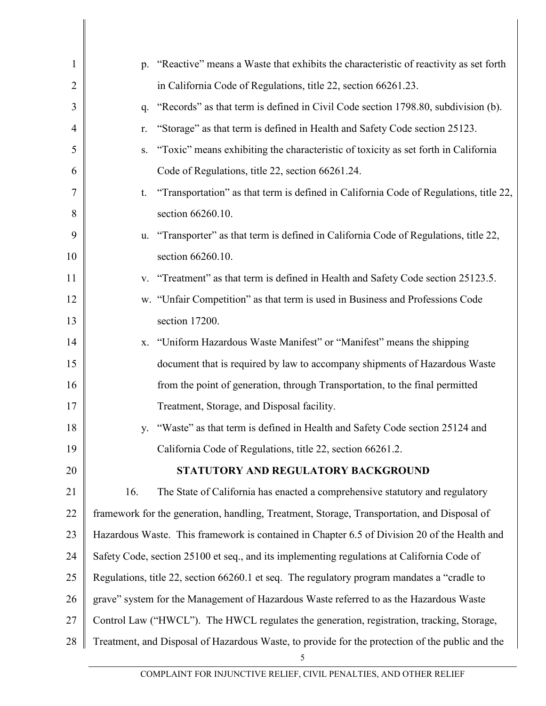| $\mathbf{1}$   |                                                                                              | p. "Reactive" means a Waste that exhibits the characteristic of reactivity as set forth              |  |
|----------------|----------------------------------------------------------------------------------------------|------------------------------------------------------------------------------------------------------|--|
| $\overline{2}$ |                                                                                              | in California Code of Regulations, title 22, section 66261.23.                                       |  |
| 3              | q.                                                                                           | "Records" as that term is defined in Civil Code section 1798.80, subdivision (b).                    |  |
| $\overline{4}$ | r.                                                                                           | "Storage" as that term is defined in Health and Safety Code section 25123.                           |  |
| 5              | S.                                                                                           | "Toxic" means exhibiting the characteristic of toxicity as set forth in California                   |  |
| 6              |                                                                                              | Code of Regulations, title 22, section 66261.24.                                                     |  |
| 7              | t.                                                                                           | "Transportation" as that term is defined in California Code of Regulations, title 22,                |  |
| 8              |                                                                                              | section 66260.10.                                                                                    |  |
| 9              | u.                                                                                           | "Transporter" as that term is defined in California Code of Regulations, title 22,                   |  |
| 10             |                                                                                              | section 66260.10.                                                                                    |  |
| 11             |                                                                                              | v. "Treatment" as that term is defined in Health and Safety Code section 25123.5.                    |  |
| 12             |                                                                                              | w. "Unfair Competition" as that term is used in Business and Professions Code                        |  |
| 13             |                                                                                              | section 17200.                                                                                       |  |
| 14             | Х.                                                                                           | "Uniform Hazardous Waste Manifest" or "Manifest" means the shipping                                  |  |
| 15             |                                                                                              | document that is required by law to accompany shipments of Hazardous Waste                           |  |
| 16             |                                                                                              | from the point of generation, through Transportation, to the final permitted                         |  |
| 17             |                                                                                              | Treatment, Storage, and Disposal facility.                                                           |  |
| 18             | V.                                                                                           | "Waste" as that term is defined in Health and Safety Code section 25124 and                          |  |
| 19             |                                                                                              | California Code of Regulations, title 22, section 66261.2.                                           |  |
| 20             |                                                                                              | STATUTORY AND REGULATORY BACKGROUND                                                                  |  |
| 21             | 16.                                                                                          | The State of California has enacted a comprehensive statutory and regulatory                         |  |
| 22             | framework for the generation, handling, Treatment, Storage, Transportation, and Disposal of  |                                                                                                      |  |
| 23             | Hazardous Waste. This framework is contained in Chapter 6.5 of Division 20 of the Health and |                                                                                                      |  |
| 24             | Safety Code, section 25100 et seq., and its implementing regulations at California Code of   |                                                                                                      |  |
| 25             | Regulations, title 22, section 66260.1 et seq. The regulatory program mandates a "cradle to  |                                                                                                      |  |
| 26             | grave" system for the Management of Hazardous Waste referred to as the Hazardous Waste       |                                                                                                      |  |
| 27             | Control Law ("HWCL"). The HWCL regulates the generation, registration, tracking, Storage,    |                                                                                                      |  |
| 28             |                                                                                              | Treatment, and Disposal of Hazardous Waste, to provide for the protection of the public and the<br>5 |  |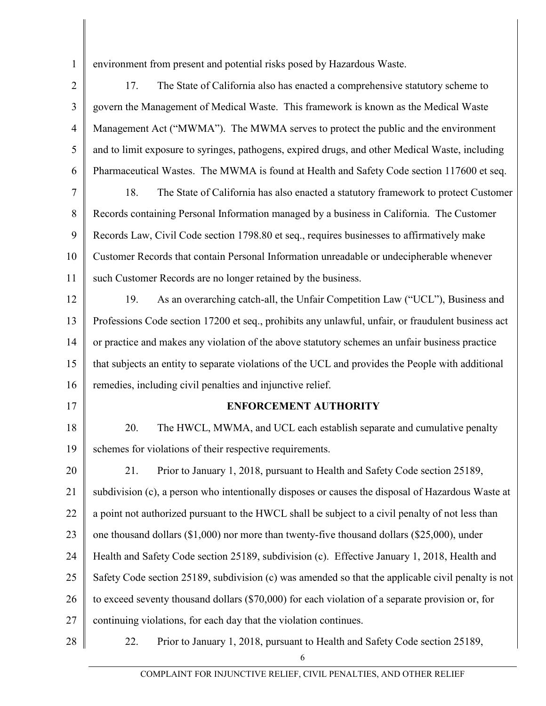environment from present and potential risks posed by Hazardous Waste.

1

2 3 4 5 6 7 8 9 10 11 12 13 14 15 16 17 18 19 20 21 22 23 24 25 26 27 28 17. The State of California also has enacted a comprehensive statutory scheme to govern the Management of Medical Waste. This framework is known as the Medical Waste Management Act ("MWMA"). The MWMA serves to protect the public and the environment and to limit exposure to syringes, pathogens, expired drugs, and other Medical Waste, including Pharmaceutical Wastes. The MWMA is found at Health and Safety Code section 117600 et seq. 18. The State of California has also enacted a statutory framework to protect Customer Records containing Personal Information managed by a business in California. The Customer Records Law, Civil Code section 1798.80 et seq., requires businesses to affirmatively make Customer Records that contain Personal Information unreadable or undecipherable whenever such Customer Records are no longer retained by the business. 19. As an overarching catch-all, the Unfair Competition Law ("UCL"), Business and Professions Code section 17200 et seq., prohibits any unlawful, unfair, or fraudulent business act or practice and makes any violation of the above statutory schemes an unfair business practice that subjects an entity to separate violations of the UCL and provides the People with additional remedies, including civil penalties and injunctive relief. **ENFORCEMENT AUTHORITY** 20. The HWCL, MWMA, and UCL each establish separate and cumulative penalty schemes for violations of their respective requirements. 21. Prior to January 1, 2018, pursuant to Health and Safety Code section 25189, subdivision (c), a person who intentionally disposes or causes the disposal of Hazardous Waste at a point not authorized pursuant to the HWCL shall be subject to a civil penalty of not less than one thousand dollars (\$1,000) nor more than twenty-five thousand dollars (\$25,000), under Health and Safety Code section 25189, subdivision (c). Effective January 1, 2018, Health and Safety Code section 25189, subdivision (c) was amended so that the applicable civil penalty is not to exceed seventy thousand dollars (\$70,000) for each violation of a separate provision or, for continuing violations, for each day that the violation continues. 22. Prior to January 1, 2018, pursuant to Health and Safety Code section 25189,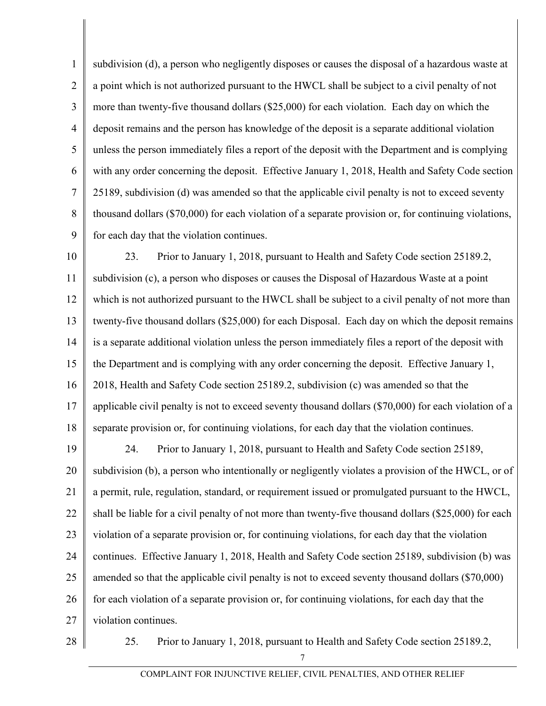1 2 3 4 5 6 7 8 9 subdivision (d), a person who negligently disposes or causes the disposal of a hazardous waste at a point which is not authorized pursuant to the HWCL shall be subject to a civil penalty of not more than twenty-five thousand dollars (\$25,000) for each violation. Each day on which the deposit remains and the person has knowledge of the deposit is a separate additional violation unless the person immediately files a report of the deposit with the Department and is complying with any order concerning the deposit. Effective January 1, 2018, Health and Safety Code section 25189, subdivision (d) was amended so that the applicable civil penalty is not to exceed seventy thousand dollars (\$70,000) for each violation of a separate provision or, for continuing violations, for each day that the violation continues.

10 11 12 13 14 15 16 17 18 23. Prior to January 1, 2018, pursuant to Health and Safety Code section 25189.2, subdivision (c), a person who disposes or causes the Disposal of Hazardous Waste at a point which is not authorized pursuant to the HWCL shall be subject to a civil penalty of not more than twenty-five thousand dollars (\$25,000) for each Disposal. Each day on which the deposit remains is a separate additional violation unless the person immediately files a report of the deposit with the Department and is complying with any order concerning the deposit. Effective January 1, 2018, Health and Safety Code section 25189.2, subdivision (c) was amended so that the applicable civil penalty is not to exceed seventy thousand dollars (\$70,000) for each violation of a separate provision or, for continuing violations, for each day that the violation continues.

19 20 21 22 23 24 25 26 27 24. Prior to January 1, 2018, pursuant to Health and Safety Code section 25189, subdivision (b), a person who intentionally or negligently violates a provision of the HWCL, or of a permit, rule, regulation, standard, or requirement issued or promulgated pursuant to the HWCL, shall be liable for a civil penalty of not more than twenty-five thousand dollars (\$25,000) for each violation of a separate provision or, for continuing violations, for each day that the violation continues. Effective January 1, 2018, Health and Safety Code section 25189, subdivision (b) was amended so that the applicable civil penalty is not to exceed seventy thousand dollars (\$70,000) for each violation of a separate provision or, for continuing violations, for each day that the violation continues.

28

25. Prior to January 1, 2018, pursuant to Health and Safety Code section 25189.2,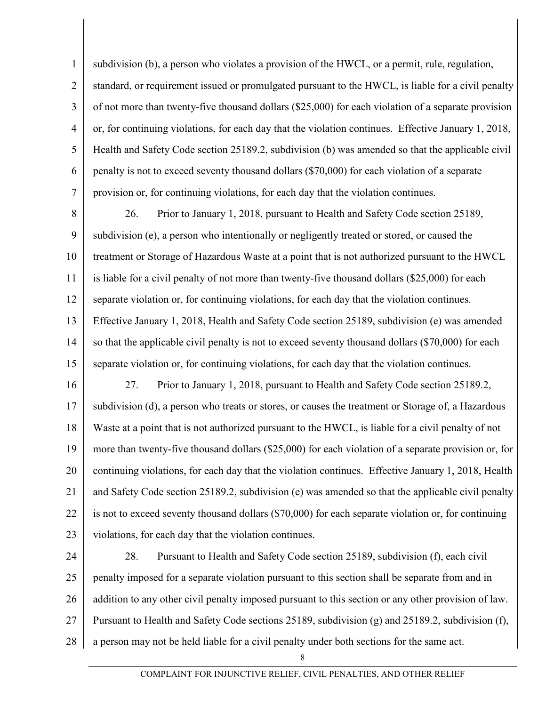1 2 3 4 5 6 7 subdivision (b), a person who violates a provision of the HWCL, or a permit, rule, regulation, standard, or requirement issued or promulgated pursuant to the HWCL, is liable for a civil penalty of not more than twenty-five thousand dollars (\$25,000) for each violation of a separate provision or, for continuing violations, for each day that the violation continues. Effective January 1, 2018, Health and Safety Code section 25189.2, subdivision (b) was amended so that the applicable civil penalty is not to exceed seventy thousand dollars (\$70,000) for each violation of a separate provision or, for continuing violations, for each day that the violation continues.

8 9 10 11 12 13 14 15 26. Prior to January 1, 2018, pursuant to Health and Safety Code section 25189, subdivision (e), a person who intentionally or negligently treated or stored, or caused the treatment or Storage of Hazardous Waste at a point that is not authorized pursuant to the HWCL is liable for a civil penalty of not more than twenty-five thousand dollars (\$25,000) for each separate violation or, for continuing violations, for each day that the violation continues. Effective January 1, 2018, Health and Safety Code section 25189, subdivision (e) was amended so that the applicable civil penalty is not to exceed seventy thousand dollars (\$70,000) for each separate violation or, for continuing violations, for each day that the violation continues.

16 17 18 19 20 21 22 23 27. Prior to January 1, 2018, pursuant to Health and Safety Code section 25189.2, subdivision (d), a person who treats or stores, or causes the treatment or Storage of, a Hazardous Waste at a point that is not authorized pursuant to the HWCL, is liable for a civil penalty of not more than twenty-five thousand dollars (\$25,000) for each violation of a separate provision or, for continuing violations, for each day that the violation continues. Effective January 1, 2018, Health and Safety Code section 25189.2, subdivision (e) was amended so that the applicable civil penalty is not to exceed seventy thousand dollars (\$70,000) for each separate violation or, for continuing violations, for each day that the violation continues.

24 25 26 27 28 28. Pursuant to Health and Safety Code section 25189, subdivision (f), each civil penalty imposed for a separate violation pursuant to this section shall be separate from and in addition to any other civil penalty imposed pursuant to this section or any other provision of law. Pursuant to Health and Safety Code sections 25189, subdivision (g) and 25189.2, subdivision (f), a person may not be held liable for a civil penalty under both sections for the same act.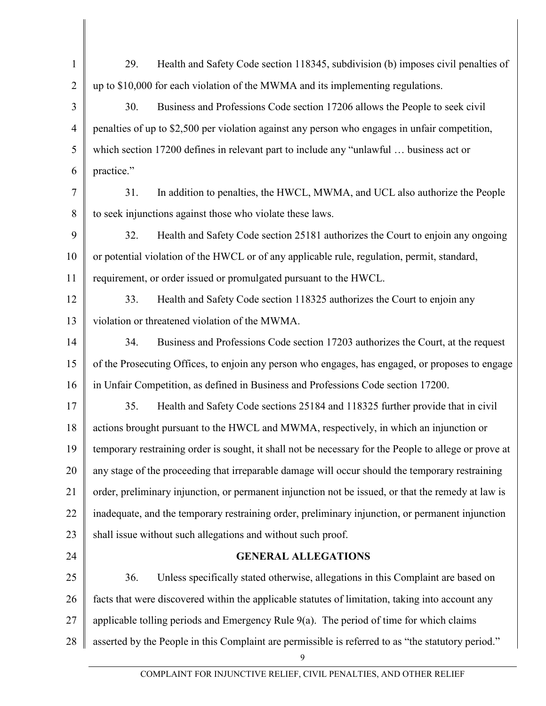| $\mathbf{1}$   | 29.<br>Health and Safety Code section 118345, subdivision (b) imposes civil penalties of                |  |  |
|----------------|---------------------------------------------------------------------------------------------------------|--|--|
| $\overline{2}$ | up to \$10,000 for each violation of the MWMA and its implementing regulations.                         |  |  |
| 3              | 30.<br>Business and Professions Code section 17206 allows the People to seek civil                      |  |  |
| $\overline{4}$ | penalties of up to \$2,500 per violation against any person who engages in unfair competition,          |  |  |
| 5              | which section 17200 defines in relevant part to include any "unlawful  business act or                  |  |  |
| 6              | practice."                                                                                              |  |  |
| 7              | 31.<br>In addition to penalties, the HWCL, MWMA, and UCL also authorize the People                      |  |  |
| 8              | to seek injunctions against those who violate these laws.                                               |  |  |
| 9              | 32.<br>Health and Safety Code section 25181 authorizes the Court to enjoin any ongoing                  |  |  |
| 10             | or potential violation of the HWCL or of any applicable rule, regulation, permit, standard,             |  |  |
| 11             | requirement, or order issued or promulgated pursuant to the HWCL.                                       |  |  |
| 12             | 33.<br>Health and Safety Code section 118325 authorizes the Court to enjoin any                         |  |  |
| 13             | violation or threatened violation of the MWMA.                                                          |  |  |
| 14             | Business and Professions Code section 17203 authorizes the Court, at the request<br>34.                 |  |  |
| 15             | of the Prosecuting Offices, to enjoin any person who engages, has engaged, or proposes to engage        |  |  |
| 16             | in Unfair Competition, as defined in Business and Professions Code section 17200.                       |  |  |
| 17             | 35.<br>Health and Safety Code sections 25184 and 118325 further provide that in civil                   |  |  |
| 18             | actions brought pursuant to the HWCL and MWMA, respectively, in which an injunction or                  |  |  |
| 19             | temporary restraining order is sought, it shall not be necessary for the People to allege or prove at   |  |  |
| 20             | any stage of the proceeding that irreparable damage will occur should the temporary restraining         |  |  |
| 21             | order, preliminary injunction, or permanent injunction not be issued, or that the remedy at law is      |  |  |
| 22             | inadequate, and the temporary restraining order, preliminary injunction, or permanent injunction        |  |  |
| 23             | shall issue without such allegations and without such proof.                                            |  |  |
| 24             | <b>GENERAL ALLEGATIONS</b>                                                                              |  |  |
| 25             | Unless specifically stated otherwise, allegations in this Complaint are based on<br>36.                 |  |  |
| 26             | facts that were discovered within the applicable statutes of limitation, taking into account any        |  |  |
| 27             | applicable tolling periods and Emergency Rule $9(a)$ . The period of time for which claims              |  |  |
| 28             | asserted by the People in this Complaint are permissible is referred to as "the statutory period."<br>9 |  |  |
|                |                                                                                                         |  |  |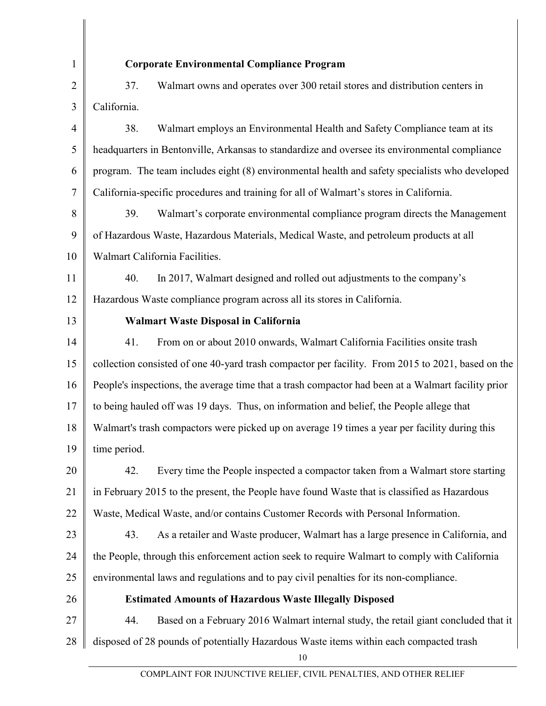| $\mathbf{1}$   | <b>Corporate Environmental Compliance Program</b>                                                  |  |
|----------------|----------------------------------------------------------------------------------------------------|--|
| $\overline{2}$ | 37.<br>Walmart owns and operates over 300 retail stores and distribution centers in                |  |
| 3              | California.                                                                                        |  |
| $\overline{4}$ | 38.<br>Walmart employs an Environmental Health and Safety Compliance team at its                   |  |
| 5              | headquarters in Bentonville, Arkansas to standardize and oversee its environmental compliance      |  |
| 6              | program. The team includes eight (8) environmental health and safety specialists who developed     |  |
| 7              | California-specific procedures and training for all of Walmart's stores in California.             |  |
| 8              | 39.<br>Walmart's corporate environmental compliance program directs the Management                 |  |
| 9              | of Hazardous Waste, Hazardous Materials, Medical Waste, and petroleum products at all              |  |
| 10             | Walmart California Facilities.                                                                     |  |
| 11             | 40.<br>In 2017, Walmart designed and rolled out adjustments to the company's                       |  |
| 12             | Hazardous Waste compliance program across all its stores in California.                            |  |
| 13             | Walmart Waste Disposal in California                                                               |  |
| 14             | 41.<br>From on or about 2010 onwards, Walmart California Facilities onsite trash                   |  |
| 15             | collection consisted of one 40-yard trash compactor per facility. From 2015 to 2021, based on the  |  |
| 16             | People's inspections, the average time that a trash compactor had been at a Walmart facility prior |  |
| 17             | to being hauled off was 19 days. Thus, on information and belief, the People allege that           |  |
| 18             | Walmart's trash compactors were picked up on average 19 times a year per facility during this      |  |
| 19             | time period.                                                                                       |  |
| 20             | Every time the People inspected a compactor taken from a Walmart store starting<br>42.             |  |
| 21             | in February 2015 to the present, the People have found Waste that is classified as Hazardous       |  |
| 22             | Waste, Medical Waste, and/or contains Customer Records with Personal Information.                  |  |
| 23             | As a retailer and Waste producer, Walmart has a large presence in California, and<br>43.           |  |
| 24             | the People, through this enforcement action seek to require Walmart to comply with California      |  |
| 25             | environmental laws and regulations and to pay civil penalties for its non-compliance.              |  |
| 26             | <b>Estimated Amounts of Hazardous Waste Illegally Disposed</b>                                     |  |
| 27             | 44.<br>Based on a February 2016 Walmart internal study, the retail giant concluded that it         |  |
| 28             | disposed of 28 pounds of potentially Hazardous Waste items within each compacted trash             |  |
|                | 10                                                                                                 |  |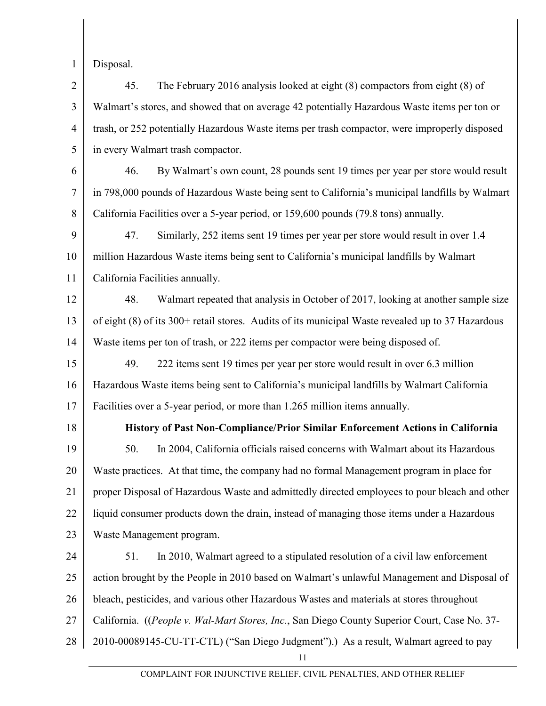1

Disposal.

2 3 4 5 45. The February 2016 analysis looked at eight (8) compactors from eight (8) of Walmart's stores, and showed that on average 42 potentially Hazardous Waste items per ton or trash, or 252 potentially Hazardous Waste items per trash compactor, were improperly disposed in every Walmart trash compactor.

6 7 8 46. By Walmart's own count, 28 pounds sent 19 times per year per store would result in 798,000 pounds of Hazardous Waste being sent to California's municipal landfills by Walmart California Facilities over a 5-year period, or 159,600 pounds (79.8 tons) annually.

9 10 11 47. Similarly, 252 items sent 19 times per year per store would result in over 1.4 million Hazardous Waste items being sent to California's municipal landfills by Walmart California Facilities annually.

12 13 14 48. Walmart repeated that analysis in October of 2017, looking at another sample size of eight (8) of its 300+ retail stores. Audits of its municipal Waste revealed up to 37 Hazardous Waste items per ton of trash, or 222 items per compactor were being disposed of.

15 16 17 49. 222 items sent 19 times per year per store would result in over 6.3 million Hazardous Waste items being sent to California's municipal landfills by Walmart California Facilities over a 5-year period, or more than 1.265 million items annually.

18 19 20 21 22 23 **History of Past Non-Compliance/Prior Similar Enforcement Actions in California** 50. In 2004, California officials raised concerns with Walmart about its Hazardous Waste practices. At that time, the company had no formal Management program in place for proper Disposal of Hazardous Waste and admittedly directed employees to pour bleach and other liquid consumer products down the drain, instead of managing those items under a Hazardous Waste Management program.

24 25 26 27 28 51. In 2010, Walmart agreed to a stipulated resolution of a civil law enforcement action brought by the People in 2010 based on Walmart's unlawful Management and Disposal of bleach, pesticides, and various other Hazardous Wastes and materials at stores throughout California. ((*People v. Wal-Mart Stores, Inc.*, San Diego County Superior Court, Case No. 37- 2010-00089145-CU-TT-CTL) ("San Diego Judgment").) As a result, Walmart agreed to pay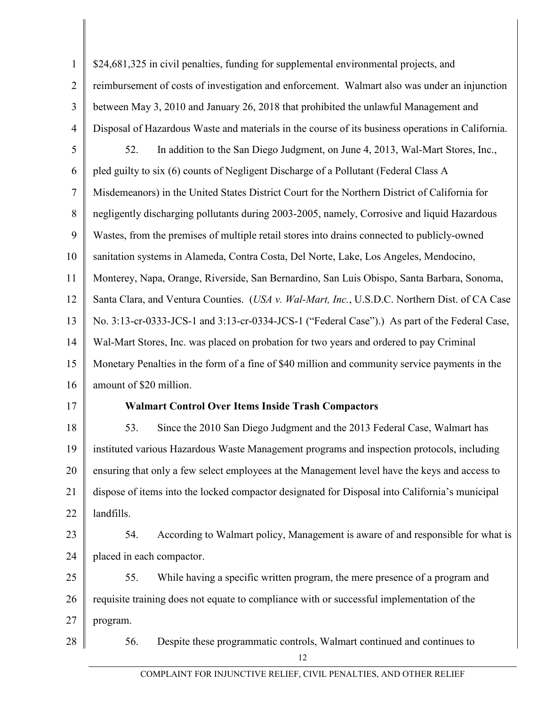| $\mathbf{1}$   | \$24,681,325 in civil penalties, funding for supplemental environmental projects, and             |  |
|----------------|---------------------------------------------------------------------------------------------------|--|
| $\overline{2}$ | reimbursement of costs of investigation and enforcement. Walmart also was under an injunction     |  |
| $\overline{3}$ | between May 3, 2010 and January 26, 2018 that prohibited the unlawful Management and              |  |
| $\overline{4}$ | Disposal of Hazardous Waste and materials in the course of its business operations in California. |  |
| 5              | In addition to the San Diego Judgment, on June 4, 2013, Wal-Mart Stores, Inc.,<br>52.             |  |
| 6              | pled guilty to six (6) counts of Negligent Discharge of a Pollutant (Federal Class A              |  |
| $\tau$         | Misdemeanors) in the United States District Court for the Northern District of California for     |  |
| 8              | negligently discharging pollutants during 2003-2005, namely, Corrosive and liquid Hazardous       |  |
| 9              | Wastes, from the premises of multiple retail stores into drains connected to publicly-owned       |  |
| 10             | sanitation systems in Alameda, Contra Costa, Del Norte, Lake, Los Angeles, Mendocino,             |  |
| 11             | Monterey, Napa, Orange, Riverside, San Bernardino, San Luis Obispo, Santa Barbara, Sonoma,        |  |
| 12             | Santa Clara, and Ventura Counties. (USA v. Wal-Mart, Inc., U.S.D.C. Northern Dist. of CA Case     |  |
| 13             | No. 3:13-cr-0333-JCS-1 and 3:13-cr-0334-JCS-1 ("Federal Case").) As part of the Federal Case,     |  |
| 14             | Wal-Mart Stores, Inc. was placed on probation for two years and ordered to pay Criminal           |  |
| 15             | Monetary Penalties in the form of a fine of \$40 million and community service payments in the    |  |
| 16             | amount of \$20 million.                                                                           |  |
| 17             | <b>Walmart Control Over Items Inside Trash Compactors</b>                                         |  |
| 18             | Since the 2010 San Diego Judgment and the 2013 Federal Case, Walmart has<br>53.                   |  |
| 19             | instituted various Hazardous Waste Management programs and inspection protocols, including        |  |
| 20             | ensuring that only a few select employees at the Management level have the keys and access to     |  |
| 21             | dispose of items into the locked compactor designated for Disposal into California's municipal    |  |
| 22             | landfills.                                                                                        |  |
| 23             | According to Walmart policy, Management is aware of and responsible for what is<br>54.            |  |
| 24             | placed in each compactor.                                                                         |  |
| 25             | While having a specific written program, the mere presence of a program and<br>55.                |  |
| 26             | requisite training does not equate to compliance with or successful implementation of the         |  |
| 27             | program.                                                                                          |  |
| 28             | Despite these programmatic controls, Walmart continued and continues to<br>56.<br>12              |  |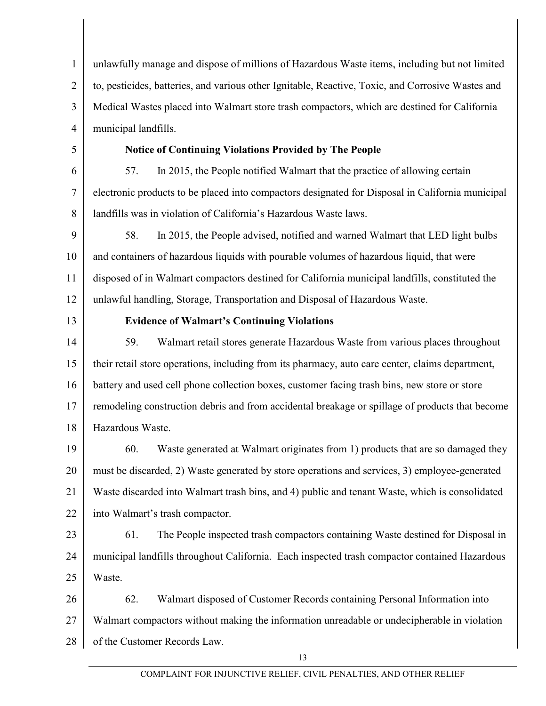1 2 3 4 5 6 7 8 9 10 11 12 13 14 15 16 17 18 19 20 21 22 23 24 25 26 27 28 unlawfully manage and dispose of millions of Hazardous Waste items, including but not limited to, pesticides, batteries, and various other Ignitable, Reactive, Toxic, and Corrosive Wastes and Medical Wastes placed into Walmart store trash compactors, which are destined for California municipal landfills. **Notice of Continuing Violations Provided by The People**  57. In 2015, the People notified Walmart that the practice of allowing certain electronic products to be placed into compactors designated for Disposal in California municipal landfills was in violation of California's Hazardous Waste laws. 58. In 2015, the People advised, notified and warned Walmart that LED light bulbs and containers of hazardous liquids with pourable volumes of hazardous liquid, that were disposed of in Walmart compactors destined for California municipal landfills, constituted the unlawful handling, Storage, Transportation and Disposal of Hazardous Waste. **Evidence of Walmart's Continuing Violations** 59. Walmart retail stores generate Hazardous Waste from various places throughout their retail store operations, including from its pharmacy, auto care center, claims department, battery and used cell phone collection boxes, customer facing trash bins, new store or store remodeling construction debris and from accidental breakage or spillage of products that become Hazardous Waste. 60. Waste generated at Walmart originates from 1) products that are so damaged they must be discarded, 2) Waste generated by store operations and services, 3) employee-generated Waste discarded into Walmart trash bins, and 4) public and tenant Waste, which is consolidated into Walmart's trash compactor. 61. The People inspected trash compactors containing Waste destined for Disposal in municipal landfills throughout California. Each inspected trash compactor contained Hazardous Waste. 62. Walmart disposed of Customer Records containing Personal Information into Walmart compactors without making the information unreadable or undecipherable in violation of the Customer Records Law.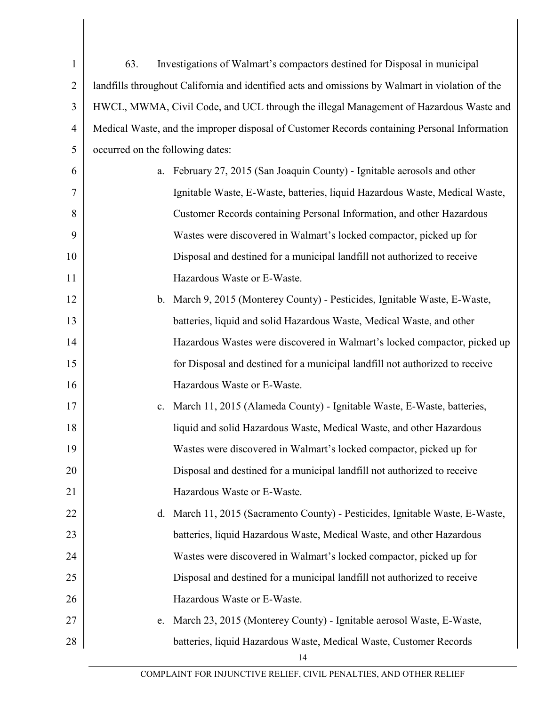| $\mathbf{1}$   | Investigations of Walmart's compactors destined for Disposal in municipal<br>63.                 |
|----------------|--------------------------------------------------------------------------------------------------|
| $\overline{2}$ | landfills throughout California and identified acts and omissions by Walmart in violation of the |
| 3              | HWCL, MWMA, Civil Code, and UCL through the illegal Management of Hazardous Waste and            |
| $\overline{4}$ | Medical Waste, and the improper disposal of Customer Records containing Personal Information     |
| 5              | occurred on the following dates:                                                                 |
| 6              | February 27, 2015 (San Joaquin County) - Ignitable aerosols and other<br>a.                      |
| 7              | Ignitable Waste, E-Waste, batteries, liquid Hazardous Waste, Medical Waste,                      |
| 8              | Customer Records containing Personal Information, and other Hazardous                            |
| 9              | Wastes were discovered in Walmart's locked compactor, picked up for                              |
| 10             | Disposal and destined for a municipal landfill not authorized to receive                         |
| 11             | Hazardous Waste or E-Waste.                                                                      |
| 12             | b. March 9, 2015 (Monterey County) - Pesticides, Ignitable Waste, E-Waste,                       |
| 13             | batteries, liquid and solid Hazardous Waste, Medical Waste, and other                            |
| 14             | Hazardous Wastes were discovered in Walmart's locked compactor, picked up                        |
| 15             | for Disposal and destined for a municipal landfill not authorized to receive                     |
| 16             | Hazardous Waste or E-Waste.                                                                      |
| 17             | March 11, 2015 (Alameda County) - Ignitable Waste, E-Waste, batteries,<br>c.                     |
| 18             | liquid and solid Hazardous Waste, Medical Waste, and other Hazardous                             |
| 19             | Wastes were discovered in Walmart's locked compactor, picked up for                              |
| 20             | Disposal and destined for a municipal landfill not authorized to receive                         |
| 21             | Hazardous Waste or E-Waste.                                                                      |
| 22             | March 11, 2015 (Sacramento County) - Pesticides, Ignitable Waste, E-Waste,<br>$d_{\cdot}$        |
| 23             | batteries, liquid Hazardous Waste, Medical Waste, and other Hazardous                            |
| 24             | Wastes were discovered in Walmart's locked compactor, picked up for                              |
| 25             | Disposal and destined for a municipal landfill not authorized to receive                         |
| 26             | Hazardous Waste or E-Waste.                                                                      |
| 27             | March 23, 2015 (Monterey County) - Ignitable aerosol Waste, E-Waste,<br>e.                       |
| 28             | batteries, liquid Hazardous Waste, Medical Waste, Customer Records                               |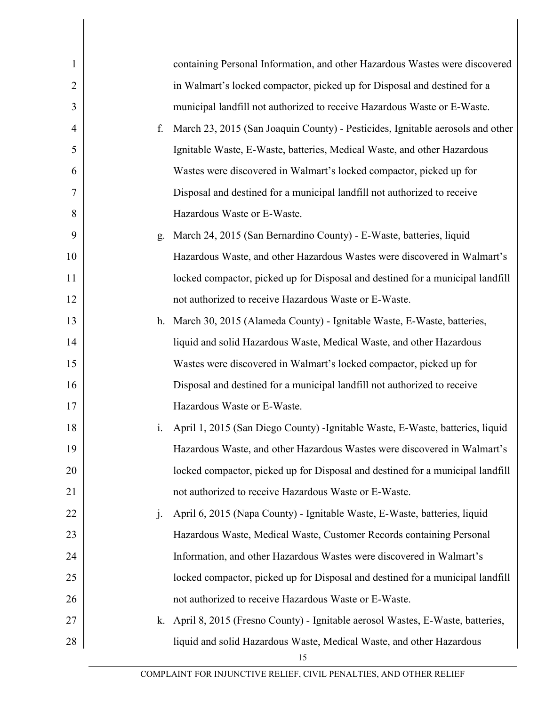| $\mathbf{1}$   |                | containing Personal Information, and other Hazardous Wastes were discovered    |
|----------------|----------------|--------------------------------------------------------------------------------|
| $\overline{2}$ |                | in Walmart's locked compactor, picked up for Disposal and destined for a       |
| 3              |                | municipal landfill not authorized to receive Hazardous Waste or E-Waste.       |
| 4              | f.             | March 23, 2015 (San Joaquin County) - Pesticides, Ignitable aerosols and other |
| 5              |                | Ignitable Waste, E-Waste, batteries, Medical Waste, and other Hazardous        |
| 6              |                | Wastes were discovered in Walmart's locked compactor, picked up for            |
| 7              |                | Disposal and destined for a municipal landfill not authorized to receive       |
| 8              |                | Hazardous Waste or E-Waste.                                                    |
| 9              | g.             | March 24, 2015 (San Bernardino County) - E-Waste, batteries, liquid            |
| 10             |                | Hazardous Waste, and other Hazardous Wastes were discovered in Walmart's       |
| 11             |                | locked compactor, picked up for Disposal and destined for a municipal landfill |
| 12             |                | not authorized to receive Hazardous Waste or E-Waste.                          |
| 13             |                | h. March 30, 2015 (Alameda County) - Ignitable Waste, E-Waste, batteries,      |
| 14             |                | liquid and solid Hazardous Waste, Medical Waste, and other Hazardous           |
| 15             |                | Wastes were discovered in Walmart's locked compactor, picked up for            |
| 16             |                | Disposal and destined for a municipal landfill not authorized to receive       |
| 17             |                | Hazardous Waste or E-Waste.                                                    |
| 18             | 1.             | April 1, 2015 (San Diego County) -Ignitable Waste, E-Waste, batteries, liquid  |
| 19             |                | Hazardous Waste, and other Hazardous Wastes were discovered in Walmart's       |
| 20             |                | locked compactor, picked up for Disposal and destined for a municipal landfill |
| 21             |                | not authorized to receive Hazardous Waste or E-Waste.                          |
| 22             | $\mathbf{j}$ . | April 6, 2015 (Napa County) - Ignitable Waste, E-Waste, batteries, liquid      |
| 23             |                | Hazardous Waste, Medical Waste, Customer Records containing Personal           |
| 24             |                | Information, and other Hazardous Wastes were discovered in Walmart's           |
| 25             |                | locked compactor, picked up for Disposal and destined for a municipal landfill |
| 26             |                | not authorized to receive Hazardous Waste or E-Waste.                          |
| 27             | k.             | April 8, 2015 (Fresno County) - Ignitable aerosol Wastes, E-Waste, batteries,  |
| 28             |                | liquid and solid Hazardous Waste, Medical Waste, and other Hazardous           |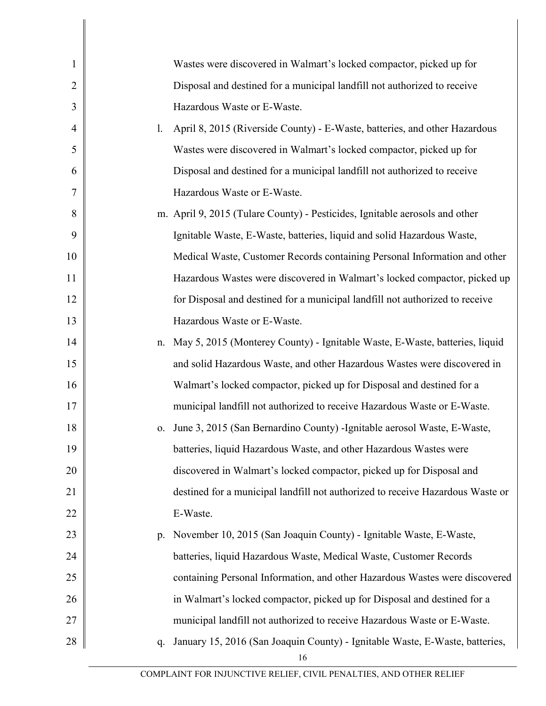| 1              |             | Wastes were discovered in Walmart's locked compactor, picked up for            |
|----------------|-------------|--------------------------------------------------------------------------------|
| $\overline{2}$ |             | Disposal and destined for a municipal landfill not authorized to receive       |
| 3              |             | Hazardous Waste or E-Waste.                                                    |
| $\overline{4}$ | 1.          | April 8, 2015 (Riverside County) - E-Waste, batteries, and other Hazardous     |
| 5              |             | Wastes were discovered in Walmart's locked compactor, picked up for            |
| 6              |             | Disposal and destined for a municipal landfill not authorized to receive       |
| 7              |             | Hazardous Waste or E-Waste.                                                    |
| 8              |             | m. April 9, 2015 (Tulare County) - Pesticides, Ignitable aerosols and other    |
| 9              |             | Ignitable Waste, E-Waste, batteries, liquid and solid Hazardous Waste,         |
| 10             |             | Medical Waste, Customer Records containing Personal Information and other      |
| 11             |             | Hazardous Wastes were discovered in Walmart's locked compactor, picked up      |
| 12             |             | for Disposal and destined for a municipal landfill not authorized to receive   |
| 13             |             | Hazardous Waste or E-Waste.                                                    |
| 14             |             | n. May 5, 2015 (Monterey County) - Ignitable Waste, E-Waste, batteries, liquid |
| 15             |             | and solid Hazardous Waste, and other Hazardous Wastes were discovered in       |
| 16             |             | Walmart's locked compactor, picked up for Disposal and destined for a          |
| 17             |             | municipal landfill not authorized to receive Hazardous Waste or E-Waste.       |
| 18             | 0.          | June 3, 2015 (San Bernardino County) -Ignitable aerosol Waste, E-Waste,        |
| 19             |             | batteries, liquid Hazardous Waste, and other Hazardous Wastes were             |
| 20             |             | discovered in Walmart's locked compactor, picked up for Disposal and           |
| 21             |             | destined for a municipal landfill not authorized to receive Hazardous Waste or |
| 22             |             | E-Waste.                                                                       |
| 23             | $p_{\cdot}$ | November 10, 2015 (San Joaquin County) - Ignitable Waste, E-Waste,             |
| 24             |             | batteries, liquid Hazardous Waste, Medical Waste, Customer Records             |
| 25             |             | containing Personal Information, and other Hazardous Wastes were discovered    |
| 26             |             | in Walmart's locked compactor, picked up for Disposal and destined for a       |
| 27             |             | municipal landfill not authorized to receive Hazardous Waste or E-Waste.       |
| 28             | q.          | January 15, 2016 (San Joaquin County) - Ignitable Waste, E-Waste, batteries,   |
|                |             |                                                                                |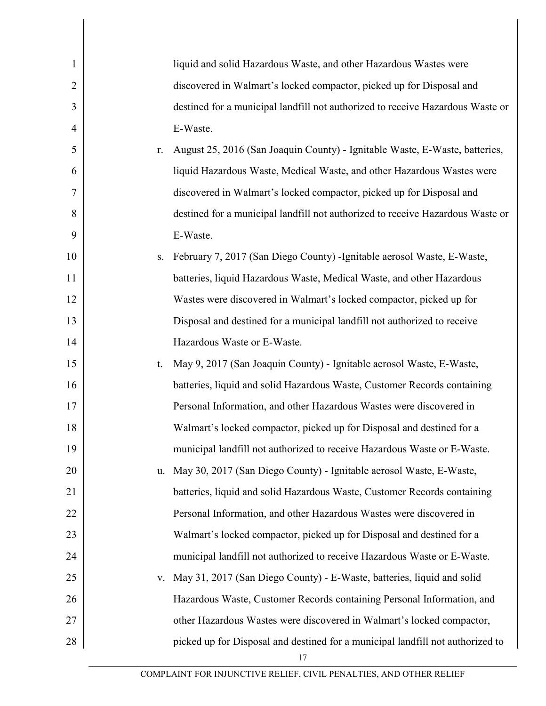| 1              |    | liquid and solid Hazardous Waste, and other Hazardous Wastes were              |
|----------------|----|--------------------------------------------------------------------------------|
| $\overline{2}$ |    | discovered in Walmart's locked compactor, picked up for Disposal and           |
| 3              |    | destined for a municipal landfill not authorized to receive Hazardous Waste or |
| $\overline{4}$ |    | E-Waste.                                                                       |
| 5              | r. | August 25, 2016 (San Joaquin County) - Ignitable Waste, E-Waste, batteries,    |
| 6              |    | liquid Hazardous Waste, Medical Waste, and other Hazardous Wastes were         |
| 7              |    | discovered in Walmart's locked compactor, picked up for Disposal and           |
| 8              |    | destined for a municipal landfill not authorized to receive Hazardous Waste or |
| 9              |    | E-Waste.                                                                       |
| 10             | S. | February 7, 2017 (San Diego County) - Ignitable aerosol Waste, E-Waste,        |
| 11             |    | batteries, liquid Hazardous Waste, Medical Waste, and other Hazardous          |
| 12             |    | Wastes were discovered in Walmart's locked compactor, picked up for            |
| 13             |    | Disposal and destined for a municipal landfill not authorized to receive       |
| 14             |    | Hazardous Waste or E-Waste.                                                    |
| 15             | t. | May 9, 2017 (San Joaquin County) - Ignitable aerosol Waste, E-Waste,           |
| 16             |    | batteries, liquid and solid Hazardous Waste, Customer Records containing       |
| 17             |    | Personal Information, and other Hazardous Wastes were discovered in            |
| 18             |    | Walmart's locked compactor, picked up for Disposal and destined for a          |
| 19             |    | municipal landfill not authorized to receive Hazardous Waste or E-Waste.       |
| 20             | u. | May 30, 2017 (San Diego County) - Ignitable aerosol Waste, E-Waste,            |
| 21             |    | batteries, liquid and solid Hazardous Waste, Customer Records containing       |
| 22             |    | Personal Information, and other Hazardous Wastes were discovered in            |
| 23             |    | Walmart's locked compactor, picked up for Disposal and destined for a          |
| 24             |    | municipal landfill not authorized to receive Hazardous Waste or E-Waste.       |
| 25             | V. | May 31, 2017 (San Diego County) - E-Waste, batteries, liquid and solid         |
| 26             |    | Hazardous Waste, Customer Records containing Personal Information, and         |
| 27             |    | other Hazardous Wastes were discovered in Walmart's locked compactor,          |
| 28             |    | picked up for Disposal and destined for a municipal landfill not authorized to |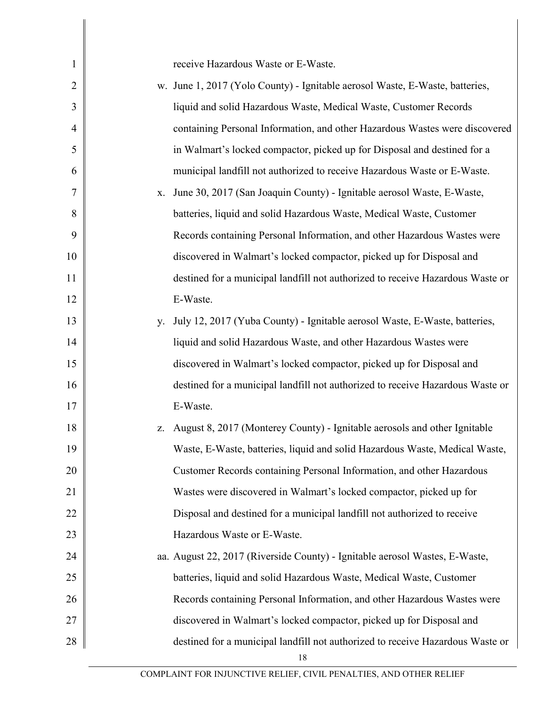| $\mathbf{1}$   | receive Hazardous Waste or E-Waste.                                              |
|----------------|----------------------------------------------------------------------------------|
| 2              | w. June 1, 2017 (Yolo County) - Ignitable aerosol Waste, E-Waste, batteries,     |
| 3              | liquid and solid Hazardous Waste, Medical Waste, Customer Records                |
| $\overline{4}$ | containing Personal Information, and other Hazardous Wastes were discovered      |
| 5              | in Walmart's locked compactor, picked up for Disposal and destined for a         |
| 6              | municipal landfill not authorized to receive Hazardous Waste or E-Waste.         |
| 7              | June 30, 2017 (San Joaquin County) - Ignitable aerosol Waste, E-Waste,<br>X.     |
| 8              | batteries, liquid and solid Hazardous Waste, Medical Waste, Customer             |
| 9              | Records containing Personal Information, and other Hazardous Wastes were         |
| 10             | discovered in Walmart's locked compactor, picked up for Disposal and             |
| 11             | destined for a municipal landfill not authorized to receive Hazardous Waste or   |
| 12             | E-Waste.                                                                         |
| 13             | July 12, 2017 (Yuba County) - Ignitable aerosol Waste, E-Waste, batteries,<br>у. |
| 14             | liquid and solid Hazardous Waste, and other Hazardous Wastes were                |
| 15             | discovered in Walmart's locked compactor, picked up for Disposal and             |
| 16             | destined for a municipal landfill not authorized to receive Hazardous Waste or   |
| 17             | E-Waste.                                                                         |
| 18             | August 8, 2017 (Monterey County) - Ignitable aerosols and other Ignitable<br>Z.  |
| 19             | Waste, E-Waste, batteries, liquid and solid Hazardous Waste, Medical Waste,      |
| 20             | Customer Records containing Personal Information, and other Hazardous            |
| 21             | Wastes were discovered in Walmart's locked compactor, picked up for              |
| 22             | Disposal and destined for a municipal landfill not authorized to receive         |
| 23             | Hazardous Waste or E-Waste.                                                      |
| 24             | aa. August 22, 2017 (Riverside County) - Ignitable aerosol Wastes, E-Waste,      |
| 25             | batteries, liquid and solid Hazardous Waste, Medical Waste, Customer             |
| 26             | Records containing Personal Information, and other Hazardous Wastes were         |
| 27             | discovered in Walmart's locked compactor, picked up for Disposal and             |
| 28             | destined for a municipal landfill not authorized to receive Hazardous Waste or   |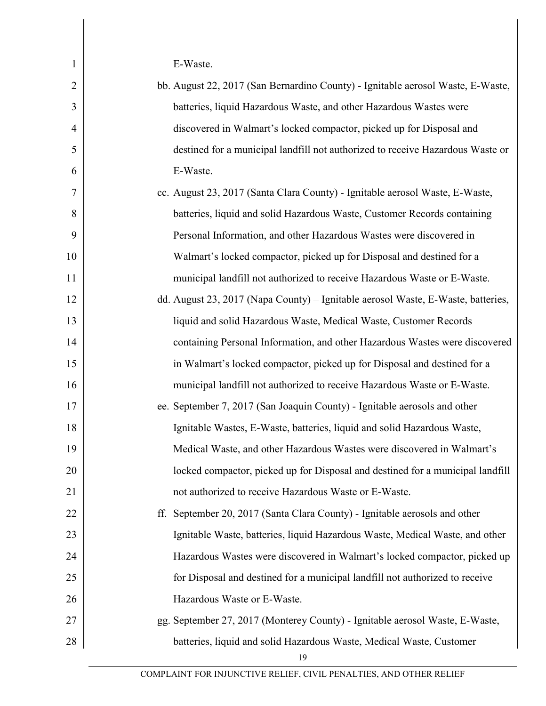E-Waste.

1

| $\overline{2}$ | bb. August 22, 2017 (San Bernardino County) - Ignitable aerosol Waste, E-Waste,  |
|----------------|----------------------------------------------------------------------------------|
| 3              | batteries, liquid Hazardous Waste, and other Hazardous Wastes were               |
| $\overline{4}$ | discovered in Walmart's locked compactor, picked up for Disposal and             |
| 5              | destined for a municipal landfill not authorized to receive Hazardous Waste or   |
| 6              | E-Waste.                                                                         |
| 7              | cc. August 23, 2017 (Santa Clara County) - Ignitable aerosol Waste, E-Waste,     |
| 8              | batteries, liquid and solid Hazardous Waste, Customer Records containing         |
| 9              | Personal Information, and other Hazardous Wastes were discovered in              |
| 10             | Walmart's locked compactor, picked up for Disposal and destined for a            |
| 11             | municipal landfill not authorized to receive Hazardous Waste or E-Waste.         |
| 12             | dd. August 23, 2017 (Napa County) – Ignitable aerosol Waste, E-Waste, batteries, |
| 13             | liquid and solid Hazardous Waste, Medical Waste, Customer Records                |
| 14             | containing Personal Information, and other Hazardous Wastes were discovered      |
| 15             | in Walmart's locked compactor, picked up for Disposal and destined for a         |
| 16             | municipal landfill not authorized to receive Hazardous Waste or E-Waste.         |
| 17             | ee. September 7, 2017 (San Joaquin County) - Ignitable aerosols and other        |
| 18             | Ignitable Wastes, E-Waste, batteries, liquid and solid Hazardous Waste,          |
| 19             | Medical Waste, and other Hazardous Wastes were discovered in Walmart's           |
| 20             | locked compactor, picked up for Disposal and destined for a municipal landfill   |
| 21             | not authorized to receive Hazardous Waste or E-Waste.                            |
| 22             | ff. September 20, 2017 (Santa Clara County) - Ignitable aerosols and other       |
| 23             | Ignitable Waste, batteries, liquid Hazardous Waste, Medical Waste, and other     |
| 24             | Hazardous Wastes were discovered in Walmart's locked compactor, picked up        |
| 25             | for Disposal and destined for a municipal landfill not authorized to receive     |
| 26             | Hazardous Waste or E-Waste.                                                      |
| 27             | gg. September 27, 2017 (Monterey County) - Ignitable aerosol Waste, E-Waste,     |
| 28             | batteries, liquid and solid Hazardous Waste, Medical Waste, Customer<br>19       |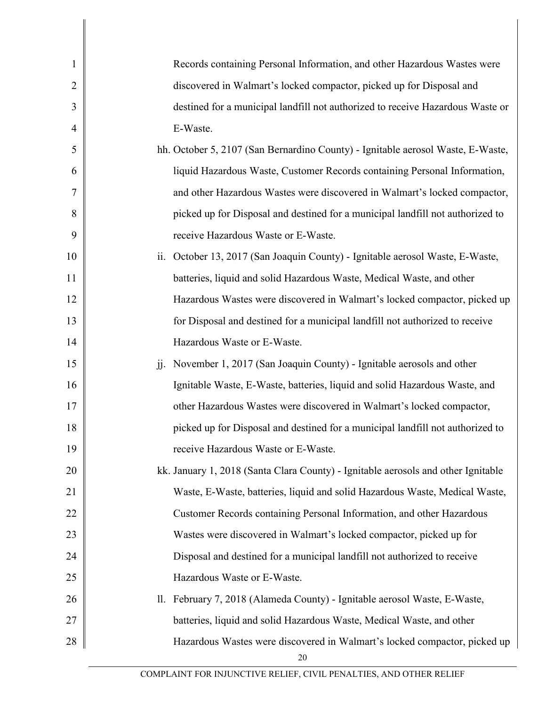| 1              | Records containing Personal Information, and other Hazardous Wastes were                          |
|----------------|---------------------------------------------------------------------------------------------------|
| $\overline{2}$ | discovered in Walmart's locked compactor, picked up for Disposal and                              |
| 3              | destined for a municipal landfill not authorized to receive Hazardous Waste or                    |
| $\overline{4}$ | E-Waste.                                                                                          |
| 5              | hh. October 5, 2107 (San Bernardino County) - Ignitable aerosol Waste, E-Waste,                   |
| 6              | liquid Hazardous Waste, Customer Records containing Personal Information,                         |
| 7              | and other Hazardous Wastes were discovered in Walmart's locked compactor,                         |
| 8              | picked up for Disposal and destined for a municipal landfill not authorized to                    |
| 9              | receive Hazardous Waste or E-Waste.                                                               |
| 10             | October 13, 2017 (San Joaquin County) - Ignitable aerosol Waste, E-Waste,<br>ii.                  |
| 11             | batteries, liquid and solid Hazardous Waste, Medical Waste, and other                             |
| 12             | Hazardous Wastes were discovered in Walmart's locked compactor, picked up                         |
| 13             | for Disposal and destined for a municipal landfill not authorized to receive                      |
| 14             | Hazardous Waste or E-Waste.                                                                       |
| 15             | November 1, 2017 (San Joaquin County) - Ignitable aerosols and other<br>$\overline{\mathbf{j}}$ . |
| 16             | Ignitable Waste, E-Waste, batteries, liquid and solid Hazardous Waste, and                        |
| 17             | other Hazardous Wastes were discovered in Walmart's locked compactor,                             |
| 18             | picked up for Disposal and destined for a municipal landfill not authorized to                    |
| 19             | receive Hazardous Waste or E-Waste.                                                               |
| 20             | kk. January 1, 2018 (Santa Clara County) - Ignitable aerosols and other Ignitable                 |
| 21             | Waste, E-Waste, batteries, liquid and solid Hazardous Waste, Medical Waste,                       |
| 22             | Customer Records containing Personal Information, and other Hazardous                             |
| 23             | Wastes were discovered in Walmart's locked compactor, picked up for                               |
| 24             | Disposal and destined for a municipal landfill not authorized to receive                          |
| 25             | Hazardous Waste or E-Waste.                                                                       |
| 26             | February 7, 2018 (Alameda County) - Ignitable aerosol Waste, E-Waste,<br>11.                      |
| 27             | batteries, liquid and solid Hazardous Waste, Medical Waste, and other                             |
| 28             | Hazardous Wastes were discovered in Walmart's locked compactor, picked up<br>20                   |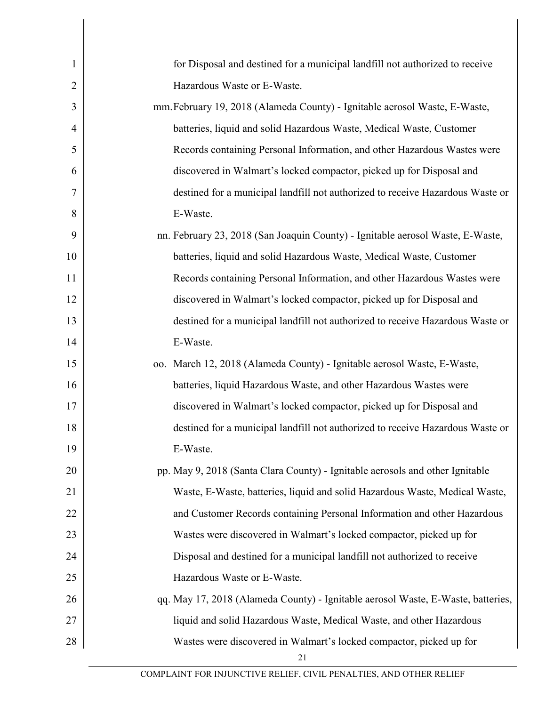| $\mathbf{1}$   | for Disposal and destined for a municipal landfill not authorized to receive     |
|----------------|----------------------------------------------------------------------------------|
| $\overline{2}$ | Hazardous Waste or E-Waste.                                                      |
| 3              | mm. February 19, 2018 (Alameda County) - Ignitable aerosol Waste, E-Waste,       |
| $\overline{4}$ | batteries, liquid and solid Hazardous Waste, Medical Waste, Customer             |
| 5              | Records containing Personal Information, and other Hazardous Wastes were         |
| 6              | discovered in Walmart's locked compactor, picked up for Disposal and             |
| 7              | destined for a municipal landfill not authorized to receive Hazardous Waste or   |
| 8              | E-Waste.                                                                         |
| 9              | nn. February 23, 2018 (San Joaquin County) - Ignitable aerosol Waste, E-Waste,   |
| 10             | batteries, liquid and solid Hazardous Waste, Medical Waste, Customer             |
| 11             | Records containing Personal Information, and other Hazardous Wastes were         |
| 12             | discovered in Walmart's locked compactor, picked up for Disposal and             |
| 13             | destined for a municipal landfill not authorized to receive Hazardous Waste or   |
| 14             | E-Waste.                                                                         |
| 15             | oo. March 12, 2018 (Alameda County) - Ignitable aerosol Waste, E-Waste,          |
| 16             | batteries, liquid Hazardous Waste, and other Hazardous Wastes were               |
| 17             | discovered in Walmart's locked compactor, picked up for Disposal and             |
| 18             | destined for a municipal landfill not authorized to receive Hazardous Waste or   |
| 19             | E-Waste.                                                                         |
| 20             | pp. May 9, 2018 (Santa Clara County) - Ignitable aerosols and other Ignitable    |
| 21             | Waste, E-Waste, batteries, liquid and solid Hazardous Waste, Medical Waste,      |
| 22             | and Customer Records containing Personal Information and other Hazardous         |
| 23             | Wastes were discovered in Walmart's locked compactor, picked up for              |
| 24             | Disposal and destined for a municipal landfill not authorized to receive         |
| 25             | Hazardous Waste or E-Waste.                                                      |
| 26             | qq. May 17, 2018 (Alameda County) - Ignitable aerosol Waste, E-Waste, batteries, |
| 27             | liquid and solid Hazardous Waste, Medical Waste, and other Hazardous             |
| 28             | Wastes were discovered in Walmart's locked compactor, picked up for<br>21        |
|                |                                                                                  |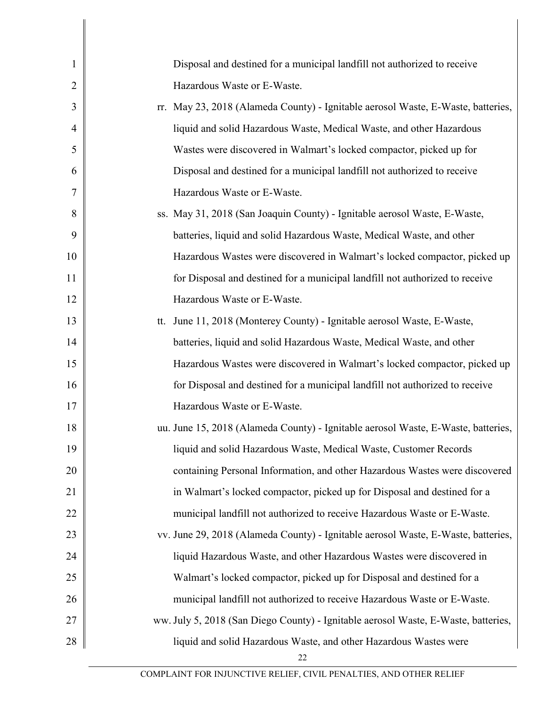| $\mathbf{1}$   | Disposal and destined for a municipal landfill not authorized to receive           |
|----------------|------------------------------------------------------------------------------------|
| $\overline{2}$ | Hazardous Waste or E-Waste.                                                        |
| 3              | rr. May 23, 2018 (Alameda County) - Ignitable aerosol Waste, E-Waste, batteries,   |
| $\overline{4}$ | liquid and solid Hazardous Waste, Medical Waste, and other Hazardous               |
| 5              | Wastes were discovered in Walmart's locked compactor, picked up for                |
| 6              | Disposal and destined for a municipal landfill not authorized to receive           |
| 7              | Hazardous Waste or E-Waste.                                                        |
| 8              | ss. May 31, 2018 (San Joaquin County) - Ignitable aerosol Waste, E-Waste,          |
| 9              | batteries, liquid and solid Hazardous Waste, Medical Waste, and other              |
| 10             | Hazardous Wastes were discovered in Walmart's locked compactor, picked up          |
| 11             | for Disposal and destined for a municipal landfill not authorized to receive       |
| 12             | Hazardous Waste or E-Waste.                                                        |
| 13             | tt. June 11, 2018 (Monterey County) - Ignitable aerosol Waste, E-Waste,            |
| 14             | batteries, liquid and solid Hazardous Waste, Medical Waste, and other              |
| 15             | Hazardous Wastes were discovered in Walmart's locked compactor, picked up          |
| 16             | for Disposal and destined for a municipal landfill not authorized to receive       |
| 17             | Hazardous Waste or E-Waste.                                                        |
| 18             | uu. June 15, 2018 (Alameda County) - Ignitable aerosol Waste, E-Waste, batteries,  |
| 19             | liquid and solid Hazardous Waste, Medical Waste, Customer Records                  |
| 20             | containing Personal Information, and other Hazardous Wastes were discovered        |
| 21             | in Walmart's locked compactor, picked up for Disposal and destined for a           |
| 22             | municipal landfill not authorized to receive Hazardous Waste or E-Waste.           |
| 23             | vv. June 29, 2018 (Alameda County) - Ignitable aerosol Waste, E-Waste, batteries,  |
| 24             | liquid Hazardous Waste, and other Hazardous Wastes were discovered in              |
| 25             | Walmart's locked compactor, picked up for Disposal and destined for a              |
| 26             | municipal landfill not authorized to receive Hazardous Waste or E-Waste.           |
| 27             | ww. July 5, 2018 (San Diego County) - Ignitable aerosol Waste, E-Waste, batteries, |
| 28             | liquid and solid Hazardous Waste, and other Hazardous Wastes were                  |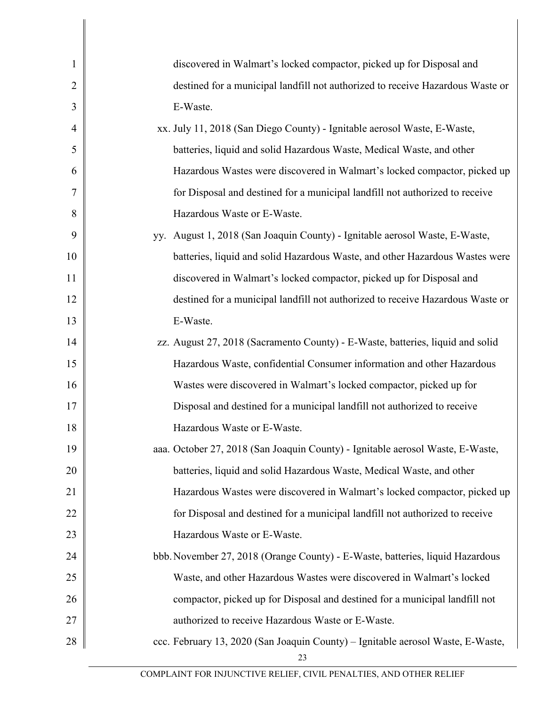| discovered in Walmart's locked compactor, picked up for Disposal and            |
|---------------------------------------------------------------------------------|
| destined for a municipal landfill not authorized to receive Hazardous Waste or  |
| E-Waste.                                                                        |
| xx. July 11, 2018 (San Diego County) - Ignitable aerosol Waste, E-Waste,        |
| batteries, liquid and solid Hazardous Waste, Medical Waste, and other           |
| Hazardous Wastes were discovered in Walmart's locked compactor, picked up       |
| for Disposal and destined for a municipal landfill not authorized to receive    |
| Hazardous Waste or E-Waste.                                                     |
| yy. August 1, 2018 (San Joaquin County) - Ignitable aerosol Waste, E-Waste,     |
| batteries, liquid and solid Hazardous Waste, and other Hazardous Wastes were    |
| discovered in Walmart's locked compactor, picked up for Disposal and            |
| destined for a municipal landfill not authorized to receive Hazardous Waste or  |
| E-Waste.                                                                        |
| zz. August 27, 2018 (Sacramento County) - E-Waste, batteries, liquid and solid  |
| Hazardous Waste, confidential Consumer information and other Hazardous          |
| Wastes were discovered in Walmart's locked compactor, picked up for             |
| Disposal and destined for a municipal landfill not authorized to receive        |
| Hazardous Waste or E-Waste.                                                     |
| aaa. October 27, 2018 (San Joaquin County) - Ignitable aerosol Waste, E-Waste,  |
| batteries, liquid and solid Hazardous Waste, Medical Waste, and other           |
| Hazardous Wastes were discovered in Walmart's locked compactor, picked up       |
| for Disposal and destined for a municipal landfill not authorized to receive    |
| Hazardous Waste or E-Waste.                                                     |
| bbb. November 27, 2018 (Orange County) - E-Waste, batteries, liquid Hazardous   |
| Waste, and other Hazardous Wastes were discovered in Walmart's locked           |
| compactor, picked up for Disposal and destined for a municipal landfill not     |
| authorized to receive Hazardous Waste or E-Waste.                               |
| ccc. February 13, 2020 (San Joaquin County) - Ignitable aerosol Waste, E-Waste, |
|                                                                                 |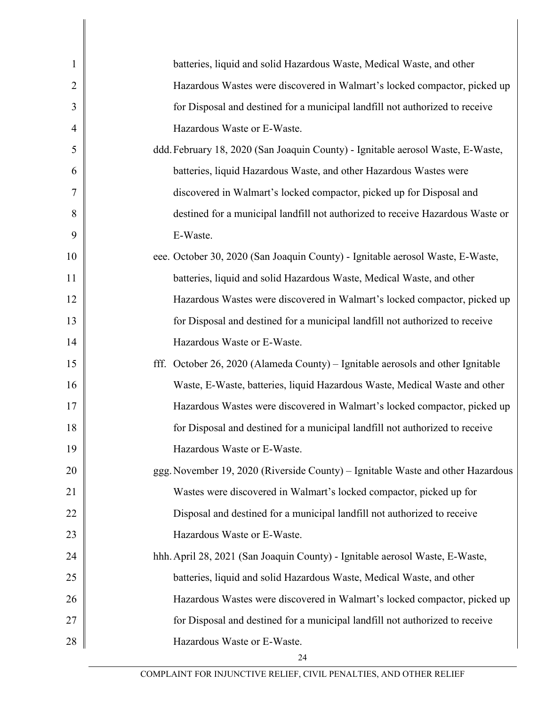| $\mathbf{1}$   | batteries, liquid and solid Hazardous Waste, Medical Waste, and other           |
|----------------|---------------------------------------------------------------------------------|
| $\overline{2}$ | Hazardous Wastes were discovered in Walmart's locked compactor, picked up       |
| 3              | for Disposal and destined for a municipal landfill not authorized to receive    |
| 4              | Hazardous Waste or E-Waste.                                                     |
| 5              | ddd. February 18, 2020 (San Joaquin County) - Ignitable aerosol Waste, E-Waste, |
| 6              | batteries, liquid Hazardous Waste, and other Hazardous Wastes were              |
| 7              | discovered in Walmart's locked compactor, picked up for Disposal and            |
| 8              | destined for a municipal landfill not authorized to receive Hazardous Waste or  |
| 9              | E-Waste.                                                                        |
| 10             | eee. October 30, 2020 (San Joaquin County) - Ignitable aerosol Waste, E-Waste,  |
| 11             | batteries, liquid and solid Hazardous Waste, Medical Waste, and other           |
| 12             | Hazardous Wastes were discovered in Walmart's locked compactor, picked up       |
| 13             | for Disposal and destined for a municipal landfill not authorized to receive    |
| 14             | Hazardous Waste or E-Waste.                                                     |
| 15             | fff. October 26, 2020 (Alameda County) – Ignitable aerosols and other Ignitable |
| 16             | Waste, E-Waste, batteries, liquid Hazardous Waste, Medical Waste and other      |
| 17             | Hazardous Wastes were discovered in Walmart's locked compactor, picked up       |
| 18             | for Disposal and destined for a municipal landfill not authorized to receive    |
| 19             | Hazardous Waste or E-Waste.                                                     |
| 20             | ggg. November 19, 2020 (Riverside County) - Ignitable Waste and other Hazardous |
| 21             | Wastes were discovered in Walmart's locked compactor, picked up for             |
| 22             | Disposal and destined for a municipal landfill not authorized to receive        |
| 23             | Hazardous Waste or E-Waste.                                                     |
| 24             | hhh. April 28, 2021 (San Joaquin County) - Ignitable aerosol Waste, E-Waste,    |
| 25             | batteries, liquid and solid Hazardous Waste, Medical Waste, and other           |
| 26             | Hazardous Wastes were discovered in Walmart's locked compactor, picked up       |
| 27             | for Disposal and destined for a municipal landfill not authorized to receive    |
| 28             | Hazardous Waste or E-Waste.                                                     |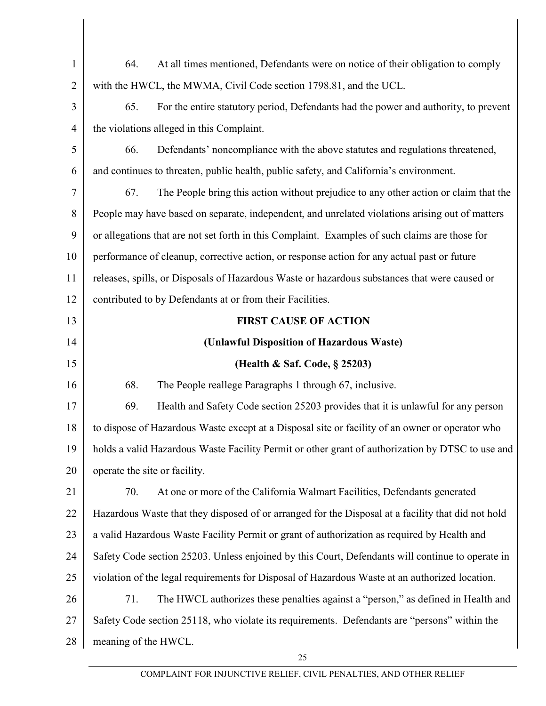| $\mathbf{1}$                                       | At all times mentioned, Defendants were on notice of their obligation to comply<br>64.             |
|----------------------------------------------------|----------------------------------------------------------------------------------------------------|
| $\overline{2}$                                     | with the HWCL, the MWMA, Civil Code section 1798.81, and the UCL.                                  |
| 3                                                  | For the entire statutory period, Defendants had the power and authority, to prevent<br>65.         |
| $\overline{4}$                                     | the violations alleged in this Complaint.                                                          |
| 5                                                  | 66.<br>Defendants' noncompliance with the above statutes and regulations threatened,               |
| 6                                                  | and continues to threaten, public health, public safety, and California's environment.             |
| $\overline{7}$                                     | The People bring this action without prejudice to any other action or claim that the<br>67.        |
| 8                                                  | People may have based on separate, independent, and unrelated violations arising out of matters    |
| 9                                                  | or allegations that are not set forth in this Complaint. Examples of such claims are those for     |
| 10                                                 | performance of cleanup, corrective action, or response action for any actual past or future        |
| 11                                                 | releases, spills, or Disposals of Hazardous Waste or hazardous substances that were caused or      |
| 12                                                 | contributed to by Defendants at or from their Facilities.                                          |
| 13                                                 | <b>FIRST CAUSE OF ACTION</b>                                                                       |
| 14                                                 | (Unlawful Disposition of Hazardous Waste)                                                          |
|                                                    |                                                                                                    |
|                                                    | (Health & Saf. Code, § 25203)                                                                      |
|                                                    | 68.<br>The People reallege Paragraphs 1 through 67, inclusive.                                     |
|                                                    | Health and Safety Code section 25203 provides that it is unlawful for any person<br>69.            |
|                                                    | to dispose of Hazardous Waste except at a Disposal site or facility of an owner or operator who    |
|                                                    | holds a valid Hazardous Waste Facility Permit or other grant of authorization by DTSC to use and   |
|                                                    | operate the site or facility.                                                                      |
|                                                    | 70.<br>At one or more of the California Walmart Facilities, Defendants generated                   |
|                                                    | Hazardous Waste that they disposed of or arranged for the Disposal at a facility that did not hold |
| 15<br>16<br>17<br>18<br>19<br>20<br>21<br>22<br>23 | a valid Hazardous Waste Facility Permit or grant of authorization as required by Health and        |
| 24                                                 | Safety Code section 25203. Unless enjoined by this Court, Defendants will continue to operate in   |
| 25                                                 | violation of the legal requirements for Disposal of Hazardous Waste at an authorized location.     |
| 26                                                 | 71.<br>The HWCL authorizes these penalties against a "person," as defined in Health and            |
| 27                                                 | Safety Code section 25118, who violate its requirements. Defendants are "persons" within the       |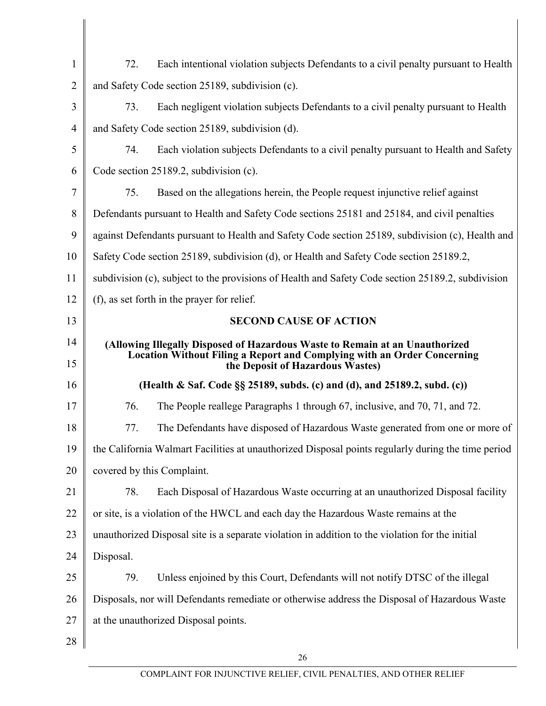| $\mathbf{1}$   | 72.<br>Each intentional violation subjects Defendants to a civil penalty pursuant to Health                        |
|----------------|--------------------------------------------------------------------------------------------------------------------|
| $\overline{2}$ | and Safety Code section 25189, subdivision (c).                                                                    |
| 3              | 73.<br>Each negligent violation subjects Defendants to a civil penalty pursuant to Health                          |
| 4              | and Safety Code section 25189, subdivision (d).                                                                    |
| 5              | 74.<br>Each violation subjects Defendants to a civil penalty pursuant to Health and Safety                         |
| 6              | Code section $25189.2$ , subdivision (c).                                                                          |
| 7              | 75.<br>Based on the allegations herein, the People request injunctive relief against                               |
| 8              | Defendants pursuant to Health and Safety Code sections 25181 and 25184, and civil penalties                        |
| 9              | against Defendants pursuant to Health and Safety Code section 25189, subdivision (c), Health and                   |
| 10             | Safety Code section 25189, subdivision (d), or Health and Safety Code section 25189.2,                             |
| 11             | subdivision (c), subject to the provisions of Health and Safety Code section 25189.2, subdivision                  |
| 12             | (f), as set forth in the prayer for relief.                                                                        |
| 13             | <b>SECOND CAUSE OF ACTION</b>                                                                                      |
| 14             | (Allowing Illegally Disposed of Hazardous Waste to Remain at an Unauthorized                                       |
| 15             | <b>Location Without Filing a Report and Complying with an Order Concerning</b><br>the Deposit of Hazardous Wastes) |
| 16             | (Health & Saf. Code §§ 25189, subds. (c) and (d), and 25189.2, subd. (c))                                          |
| 17             | 76.<br>The People reallege Paragraphs 1 through 67, inclusive, and 70, 71, and 72.                                 |
| 18             | 77.<br>The Defendants have disposed of Hazardous Waste generated from one or more of                               |
| 19             | the California Walmart Facilities at unauthorized Disposal points regularly during the time period                 |
| 20             | covered by this Complaint.                                                                                         |
| 21             | Each Disposal of Hazardous Waste occurring at an unauthorized Disposal facility<br>78.                             |
| 22             | or site, is a violation of the HWCL and each day the Hazardous Waste remains at the                                |
| 23             | unauthorized Disposal site is a separate violation in addition to the violation for the initial                    |
| 24             | Disposal.                                                                                                          |
| 25             | Unless enjoined by this Court, Defendants will not notify DTSC of the illegal<br>79.                               |
| 26             | Disposals, nor will Defendants remediate or otherwise address the Disposal of Hazardous Waste                      |
| 27             | at the unauthorized Disposal points.                                                                               |
| 28             |                                                                                                                    |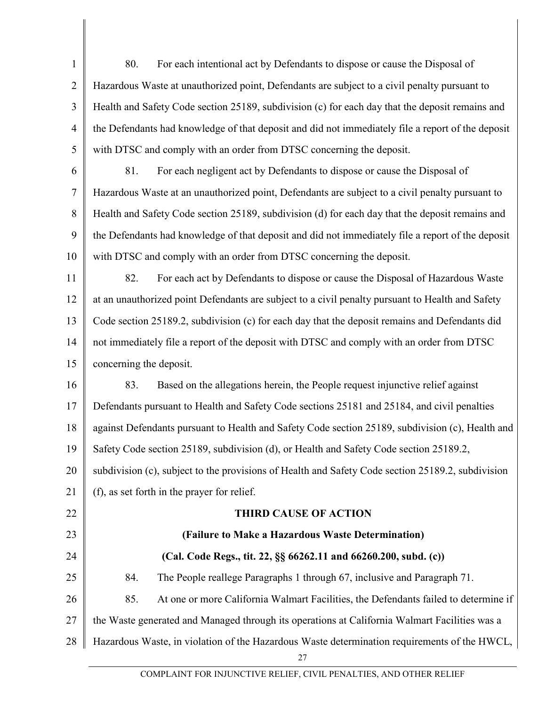| $\mathbf{1}$   | 80.<br>For each intentional act by Defendants to dispose or cause the Disposal of                 |
|----------------|---------------------------------------------------------------------------------------------------|
| $\overline{2}$ | Hazardous Waste at unauthorized point, Defendants are subject to a civil penalty pursuant to      |
| 3              | Health and Safety Code section 25189, subdivision (c) for each day that the deposit remains and   |
| $\overline{4}$ | the Defendants had knowledge of that deposit and did not immediately file a report of the deposit |
| 5              | with DTSC and comply with an order from DTSC concerning the deposit.                              |
| 6              | For each negligent act by Defendants to dispose or cause the Disposal of<br>81.                   |
| $\tau$         | Hazardous Waste at an unauthorized point, Defendants are subject to a civil penalty pursuant to   |
| 8              | Health and Safety Code section 25189, subdivision (d) for each day that the deposit remains and   |
| 9              | the Defendants had knowledge of that deposit and did not immediately file a report of the deposit |
| 10             | with DTSC and comply with an order from DTSC concerning the deposit.                              |
| 11             | 82.<br>For each act by Defendants to dispose or cause the Disposal of Hazardous Waste             |
| 12             | at an unauthorized point Defendants are subject to a civil penalty pursuant to Health and Safety  |
| 13             | Code section 25189.2, subdivision (c) for each day that the deposit remains and Defendants did    |
| 14             | not immediately file a report of the deposit with DTSC and comply with an order from DTSC         |
| 15             | concerning the deposit.                                                                           |
| 16             | Based on the allegations herein, the People request injunctive relief against<br>83.              |
| 17             | Defendants pursuant to Health and Safety Code sections 25181 and 25184, and civil penalties       |
| 18             | against Defendants pursuant to Health and Safety Code section 25189, subdivision (c), Health and  |
| 19             | Safety Code section 25189, subdivision (d), or Health and Safety Code section 25189.2.            |
| 20             | subdivision (c), subject to the provisions of Health and Safety Code section 25189.2, subdivision |
| 21             | (f), as set forth in the prayer for relief.                                                       |
| 22             | <b>THIRD CAUSE OF ACTION</b>                                                                      |
| 23             | (Failure to Make a Hazardous Waste Determination)                                                 |
| 24             | (Cal. Code Regs., tit. 22, §§ 66262.11 and 66260.200, subd. (c))                                  |
| 25             | 84.<br>The People reallege Paragraphs 1 through 67, inclusive and Paragraph 71.                   |
| 26             | 85.<br>At one or more California Walmart Facilities, the Defendants failed to determine if        |
| 27             | the Waste generated and Managed through its operations at California Walmart Facilities was a     |
| 28             | Hazardous Waste, in violation of the Hazardous Waste determination requirements of the HWCL,      |
|                |                                                                                                   |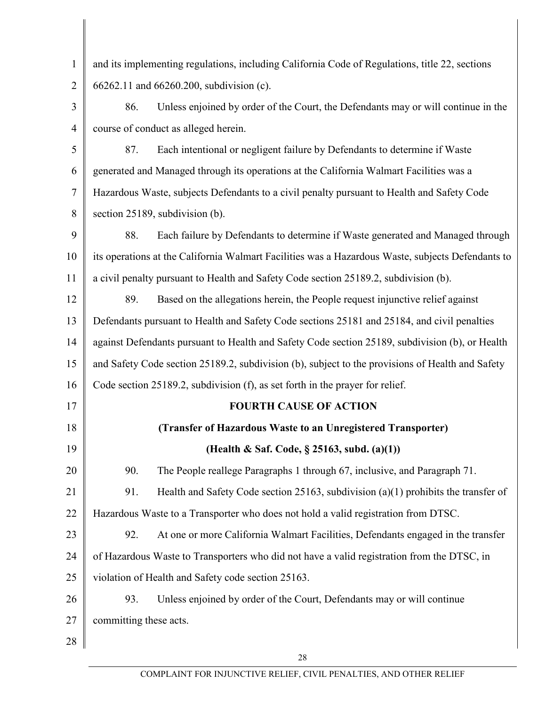| $\mathbf{1}$   | and its implementing regulations, including California Code of Regulations, title 22, sections    |
|----------------|---------------------------------------------------------------------------------------------------|
| $\overline{2}$ | 66262.11 and 66260.200, subdivision (c).                                                          |
| 3              | Unless enjoined by order of the Court, the Defendants may or will continue in the<br>86.          |
| $\overline{4}$ | course of conduct as alleged herein.                                                              |
| 5              | Each intentional or negligent failure by Defendants to determine if Waste<br>87.                  |
| 6              | generated and Managed through its operations at the California Walmart Facilities was a           |
| 7              | Hazardous Waste, subjects Defendants to a civil penalty pursuant to Health and Safety Code        |
| 8              | section 25189, subdivision (b).                                                                   |
| 9              | 88.<br>Each failure by Defendants to determine if Waste generated and Managed through             |
| 10             | its operations at the California Walmart Facilities was a Hazardous Waste, subjects Defendants to |
| 11             | a civil penalty pursuant to Health and Safety Code section 25189.2, subdivision (b).              |
| 12             | 89.<br>Based on the allegations herein, the People request injunctive relief against              |
| 13             | Defendants pursuant to Health and Safety Code sections 25181 and 25184, and civil penalties       |
| 14             | against Defendants pursuant to Health and Safety Code section 25189, subdivision (b), or Health   |
| 15             | and Safety Code section 25189.2, subdivision (b), subject to the provisions of Health and Safety  |
| 16             | Code section 25189.2, subdivision (f), as set forth in the prayer for relief.                     |
| 17             | <b>FOURTH CAUSE OF ACTION</b>                                                                     |
| 18             | (Transfer of Hazardous Waste to an Unregistered Transporter)                                      |
| 19             | (Health & Saf. Code, § 25163, subd. (a)(1))                                                       |
| 20             | 90.<br>The People reallege Paragraphs 1 through 67, inclusive, and Paragraph 71.                  |
| 21             | Health and Safety Code section 25163, subdivision $(a)(1)$ prohibits the transfer of<br>91.       |
| 22             | Hazardous Waste to a Transporter who does not hold a valid registration from DTSC.                |
| 23             | 92.<br>At one or more California Walmart Facilities, Defendants engaged in the transfer           |
| 24             | of Hazardous Waste to Transporters who did not have a valid registration from the DTSC, in        |
| 25             | violation of Health and Safety code section 25163.                                                |
| 26             | Unless enjoined by order of the Court, Defendants may or will continue<br>93.                     |
| 27             | committing these acts.                                                                            |
| 28             |                                                                                                   |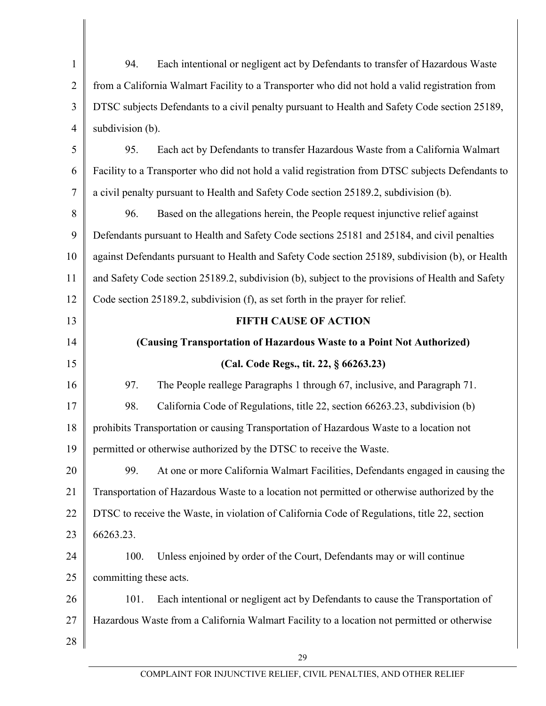1 2 3 4 5 6 7 8 9 10 11 12 13 14 15 16 17 18 19 20 21 22 23 24 25 26 27 28 94. Each intentional or negligent act by Defendants to transfer of Hazardous Waste from a California Walmart Facility to a Transporter who did not hold a valid registration from DTSC subjects Defendants to a civil penalty pursuant to Health and Safety Code section 25189, subdivision (b). 95. Each act by Defendants to transfer Hazardous Waste from a California Walmart Facility to a Transporter who did not hold a valid registration from DTSC subjects Defendants to a civil penalty pursuant to Health and Safety Code section 25189.2, subdivision (b). 96. Based on the allegations herein, the People request injunctive relief against Defendants pursuant to Health and Safety Code sections 25181 and 25184, and civil penalties against Defendants pursuant to Health and Safety Code section 25189, subdivision (b), or Health and Safety Code section 25189.2, subdivision (b), subject to the provisions of Health and Safety Code section 25189.2, subdivision (f), as set forth in the prayer for relief. **FIFTH CAUSE OF ACTION (Causing Transportation of Hazardous Waste to a Point Not Authorized) (Cal. Code Regs., tit. 22, § 66263.23)** 97. The People reallege Paragraphs 1 through 67, inclusive, and Paragraph 71. 98. California Code of Regulations, title 22, section 66263.23, subdivision (b) prohibits Transportation or causing Transportation of Hazardous Waste to a location not permitted or otherwise authorized by the DTSC to receive the Waste. 99. At one or more California Walmart Facilities, Defendants engaged in causing the Transportation of Hazardous Waste to a location not permitted or otherwise authorized by the DTSC to receive the Waste, in violation of California Code of Regulations, title 22, section 66263.23. 100. Unless enjoined by order of the Court, Defendants may or will continue committing these acts. 101. Each intentional or negligent act by Defendants to cause the Transportation of Hazardous Waste from a California Walmart Facility to a location not permitted or otherwise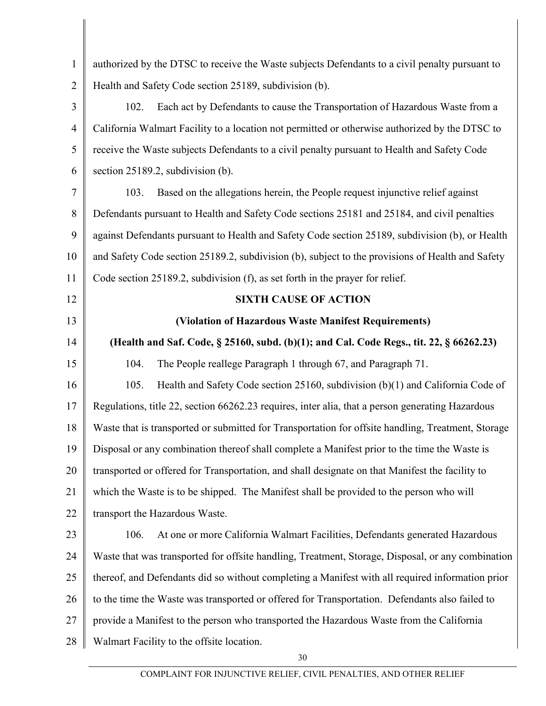| $\mathbf{1}$   | authorized by the DTSC to receive the Waste subjects Defendants to a civil penalty pursuant to     |  |  |
|----------------|----------------------------------------------------------------------------------------------------|--|--|
| $\overline{2}$ | Health and Safety Code section 25189, subdivision (b).                                             |  |  |
| 3              | Each act by Defendants to cause the Transportation of Hazardous Waste from a<br>102.               |  |  |
| $\overline{4}$ | California Walmart Facility to a location not permitted or otherwise authorized by the DTSC to     |  |  |
| 5              | receive the Waste subjects Defendants to a civil penalty pursuant to Health and Safety Code        |  |  |
| 6              | section 25189.2, subdivision (b).                                                                  |  |  |
| 7              | Based on the allegations herein, the People request injunctive relief against<br>103.              |  |  |
| 8              | Defendants pursuant to Health and Safety Code sections 25181 and 25184, and civil penalties        |  |  |
| 9              | against Defendants pursuant to Health and Safety Code section 25189, subdivision (b), or Health    |  |  |
| 10             | and Safety Code section 25189.2, subdivision (b), subject to the provisions of Health and Safety   |  |  |
| 11             | Code section 25189.2, subdivision (f), as set forth in the prayer for relief.                      |  |  |
| 12             | <b>SIXTH CAUSE OF ACTION</b>                                                                       |  |  |
| 13             | (Violation of Hazardous Waste Manifest Requirements)                                               |  |  |
| 14             | (Health and Saf. Code, § 25160, subd. (b)(1); and Cal. Code Regs., tit. 22, § 66262.23)            |  |  |
| 15             | 104.<br>The People reallege Paragraph 1 through 67, and Paragraph 71.                              |  |  |
| 16             | 105.<br>Health and Safety Code section 25160, subdivision (b)(1) and California Code of            |  |  |
| 17             | Regulations, title 22, section 66262.23 requires, inter alia, that a person generating Hazardous   |  |  |
| 18             | Waste that is transported or submitted for Transportation for offsite handling, Treatment, Storage |  |  |
| 19             | Disposal or any combination thereof shall complete a Manifest prior to the time the Waste is       |  |  |
| 20             | transported or offered for Transportation, and shall designate on that Manifest the facility to    |  |  |
| 21             | which the Waste is to be shipped. The Manifest shall be provided to the person who will            |  |  |
| 22             | transport the Hazardous Waste.                                                                     |  |  |
| 23             | 106.<br>At one or more California Walmart Facilities, Defendants generated Hazardous               |  |  |
| 24             | Waste that was transported for offsite handling, Treatment, Storage, Disposal, or any combination  |  |  |
| 25             | thereof, and Defendants did so without completing a Manifest with all required information prior   |  |  |
| 26             | to the time the Waste was transported or offered for Transportation. Defendants also failed to     |  |  |
| 27             | provide a Manifest to the person who transported the Hazardous Waste from the California           |  |  |
| 28             | Walmart Facility to the offsite location.                                                          |  |  |
|                | 30                                                                                                 |  |  |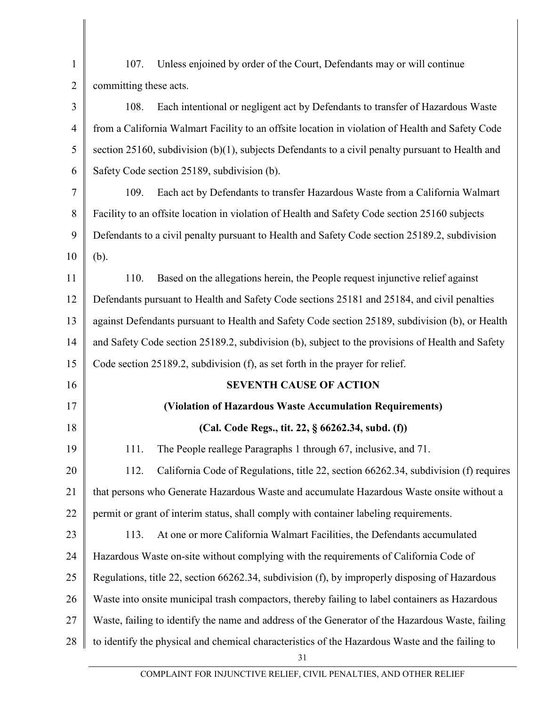| $\mathbf{1}$   | Unless enjoined by order of the Court, Defendants may or will continue<br>107.                      |  |  |  |
|----------------|-----------------------------------------------------------------------------------------------------|--|--|--|
| $\overline{2}$ | committing these acts.                                                                              |  |  |  |
| 3              | Each intentional or negligent act by Defendants to transfer of Hazardous Waste<br>108.              |  |  |  |
| 4              | from a California Walmart Facility to an offsite location in violation of Health and Safety Code    |  |  |  |
| 5              | section 25160, subdivision $(b)(1)$ , subjects Defendants to a civil penalty pursuant to Health and |  |  |  |
| 6              | Safety Code section 25189, subdivision (b).                                                         |  |  |  |
| 7              | Each act by Defendants to transfer Hazardous Waste from a California Walmart<br>109.                |  |  |  |
| 8              | Facility to an offsite location in violation of Health and Safety Code section 25160 subjects       |  |  |  |
| 9              | Defendants to a civil penalty pursuant to Health and Safety Code section 25189.2, subdivision       |  |  |  |
| 10             | (b).                                                                                                |  |  |  |
| 11             | Based on the allegations herein, the People request injunctive relief against<br>110.               |  |  |  |
| 12             | Defendants pursuant to Health and Safety Code sections 25181 and 25184, and civil penalties         |  |  |  |
| 13             | against Defendants pursuant to Health and Safety Code section 25189, subdivision (b), or Health     |  |  |  |
| 14             | and Safety Code section 25189.2, subdivision (b), subject to the provisions of Health and Safety    |  |  |  |
| 15             | Code section 25189.2, subdivision (f), as set forth in the prayer for relief.                       |  |  |  |
| 16             | <b>SEVENTH CAUSE OF ACTION</b>                                                                      |  |  |  |
| 17             | (Violation of Hazardous Waste Accumulation Requirements)                                            |  |  |  |
| 18             | (Cal. Code Regs., tit. 22, § 66262.34, subd. (f))                                                   |  |  |  |
| 19             | The People reallege Paragraphs 1 through 67, inclusive, and 71.<br>111.                             |  |  |  |
| 20             | California Code of Regulations, title 22, section 66262.34, subdivision (f) requires<br>112.        |  |  |  |
| 21             | that persons who Generate Hazardous Waste and accumulate Hazardous Waste onsite without a           |  |  |  |
| 22             | permit or grant of interim status, shall comply with container labeling requirements.               |  |  |  |
| 23             | 113.<br>At one or more California Walmart Facilities, the Defendants accumulated                    |  |  |  |
| 24             | Hazardous Waste on-site without complying with the requirements of California Code of               |  |  |  |
| 25             | Regulations, title 22, section 66262.34, subdivision (f), by improperly disposing of Hazardous      |  |  |  |
| 26             | Waste into onsite municipal trash compactors, thereby failing to label containers as Hazardous      |  |  |  |
| 27             | Waste, failing to identify the name and address of the Generator of the Hazardous Waste, failing    |  |  |  |
| 28             | to identify the physical and chemical characteristics of the Hazardous Waste and the failing to     |  |  |  |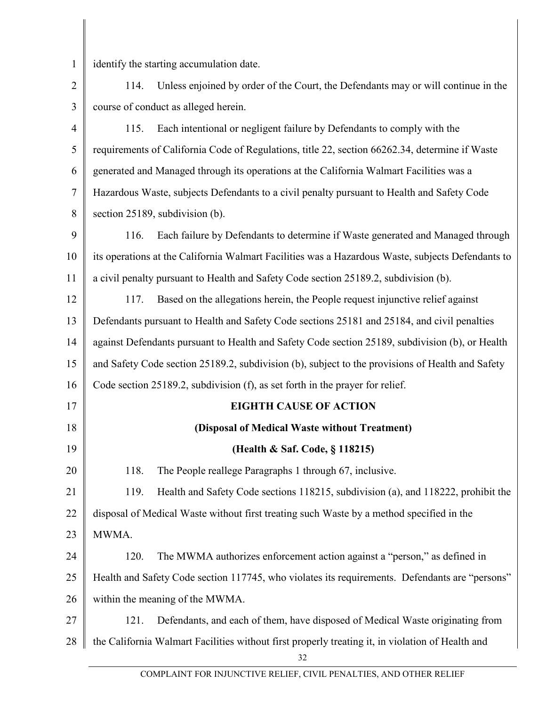| $\mathbf{1}$   | identify the starting accumulation date.                                                               |  |  |
|----------------|--------------------------------------------------------------------------------------------------------|--|--|
| $\overline{2}$ | Unless enjoined by order of the Court, the Defendants may or will continue in the<br>114.              |  |  |
| 3              | course of conduct as alleged herein.                                                                   |  |  |
| $\overline{4}$ | 115.<br>Each intentional or negligent failure by Defendants to comply with the                         |  |  |
| 5              | requirements of California Code of Regulations, title 22, section 66262.34, determine if Waste         |  |  |
| 6              | generated and Managed through its operations at the California Walmart Facilities was a                |  |  |
| 7              | Hazardous Waste, subjects Defendants to a civil penalty pursuant to Health and Safety Code             |  |  |
| 8              | section 25189, subdivision (b).                                                                        |  |  |
| 9              | Each failure by Defendants to determine if Waste generated and Managed through<br>116.                 |  |  |
| 10             | its operations at the California Walmart Facilities was a Hazardous Waste, subjects Defendants to      |  |  |
| 11             | a civil penalty pursuant to Health and Safety Code section 25189.2, subdivision (b).                   |  |  |
| 12             | Based on the allegations herein, the People request injunctive relief against<br>117.                  |  |  |
| 13             | Defendants pursuant to Health and Safety Code sections 25181 and 25184, and civil penalties            |  |  |
| 14             | against Defendants pursuant to Health and Safety Code section 25189, subdivision (b), or Health        |  |  |
| 15             | and Safety Code section 25189.2, subdivision (b), subject to the provisions of Health and Safety       |  |  |
| 16             | Code section 25189.2, subdivision (f), as set forth in the prayer for relief.                          |  |  |
| 17             | <b>EIGHTH CAUSE OF ACTION</b>                                                                          |  |  |
| 18             | (Disposal of Medical Waste without Treatment)                                                          |  |  |
| 19             | (Health & Saf. Code, § 118215)                                                                         |  |  |
| 20             | 118.<br>The People reallege Paragraphs 1 through 67, inclusive.                                        |  |  |
| 21             | 119.<br>Health and Safety Code sections 118215, subdivision (a), and 118222, prohibit the              |  |  |
| 22             | disposal of Medical Waste without first treating such Waste by a method specified in the               |  |  |
| 23             | MWMA.                                                                                                  |  |  |
| 24             | The MWMA authorizes enforcement action against a "person," as defined in<br>120.                       |  |  |
| 25             | Health and Safety Code section 117745, who violates its requirements. Defendants are "persons"         |  |  |
| 26             | within the meaning of the MWMA.                                                                        |  |  |
| 27             | Defendants, and each of them, have disposed of Medical Waste originating from<br>121.                  |  |  |
| 28             | the California Walmart Facilities without first properly treating it, in violation of Health and<br>32 |  |  |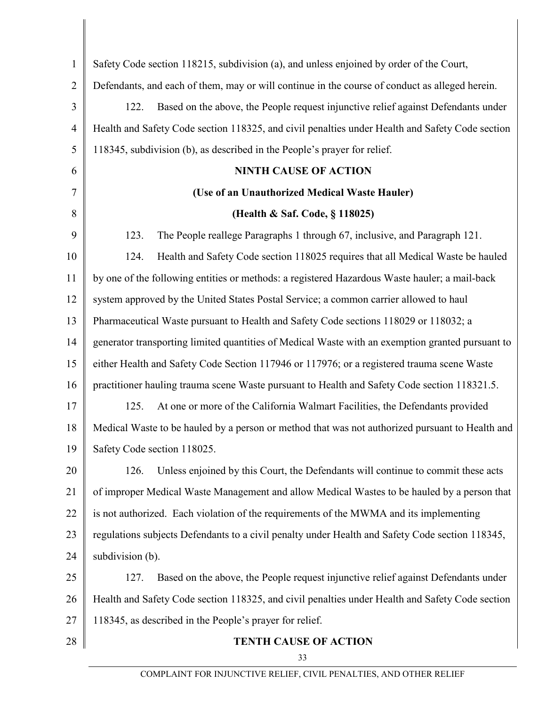| $\mathbf{1}$   | Safety Code section 118215, subdivision (a), and unless enjoined by order of the Court,          |  |  |
|----------------|--------------------------------------------------------------------------------------------------|--|--|
| $\overline{2}$ | Defendants, and each of them, may or will continue in the course of conduct as alleged herein.   |  |  |
| 3              | Based on the above, the People request injunctive relief against Defendants under<br>122.        |  |  |
| $\overline{4}$ | Health and Safety Code section 118325, and civil penalties under Health and Safety Code section  |  |  |
| 5              | 118345, subdivision (b), as described in the People's prayer for relief.                         |  |  |
| 6              | <b>NINTH CAUSE OF ACTION</b>                                                                     |  |  |
| 7              | (Use of an Unauthorized Medical Waste Hauler)                                                    |  |  |
| 8              | (Health & Saf. Code, § 118025)                                                                   |  |  |
| 9              | 123.<br>The People reallege Paragraphs 1 through 67, inclusive, and Paragraph 121.               |  |  |
| 10             | 124.<br>Health and Safety Code section 118025 requires that all Medical Waste be hauled          |  |  |
| 11             | by one of the following entities or methods: a registered Hazardous Waste hauler; a mail-back    |  |  |
| 12             | system approved by the United States Postal Service; a common carrier allowed to haul            |  |  |
| 13             | Pharmaceutical Waste pursuant to Health and Safety Code sections 118029 or 118032; a             |  |  |
| 14             | generator transporting limited quantities of Medical Waste with an exemption granted pursuant to |  |  |
| 15             | either Health and Safety Code Section 117946 or 117976; or a registered trauma scene Waste       |  |  |
| 16             | practitioner hauling trauma scene Waste pursuant to Health and Safety Code section 118321.5.     |  |  |
| 17             | 125.<br>At one or more of the California Walmart Facilities, the Defendants provided             |  |  |
| 18             | Medical Waste to be hauled by a person or method that was not authorized pursuant to Health and  |  |  |
| 19             | Safety Code section 118025.                                                                      |  |  |
| 20             | Unless enjoined by this Court, the Defendants will continue to commit these acts<br>126.         |  |  |
| 21             | of improper Medical Waste Management and allow Medical Wastes to be hauled by a person that      |  |  |
| 22             | is not authorized. Each violation of the requirements of the MWMA and its implementing           |  |  |
| 23             | regulations subjects Defendants to a civil penalty under Health and Safety Code section 118345,  |  |  |
| 24             | subdivision (b).                                                                                 |  |  |
| 25             | Based on the above, the People request injunctive relief against Defendants under<br>127.        |  |  |
| 26             | Health and Safety Code section 118325, and civil penalties under Health and Safety Code section  |  |  |
| 27             | 118345, as described in the People's prayer for relief.                                          |  |  |
| 28             | <b>TENTH CAUSE OF ACTION</b>                                                                     |  |  |

33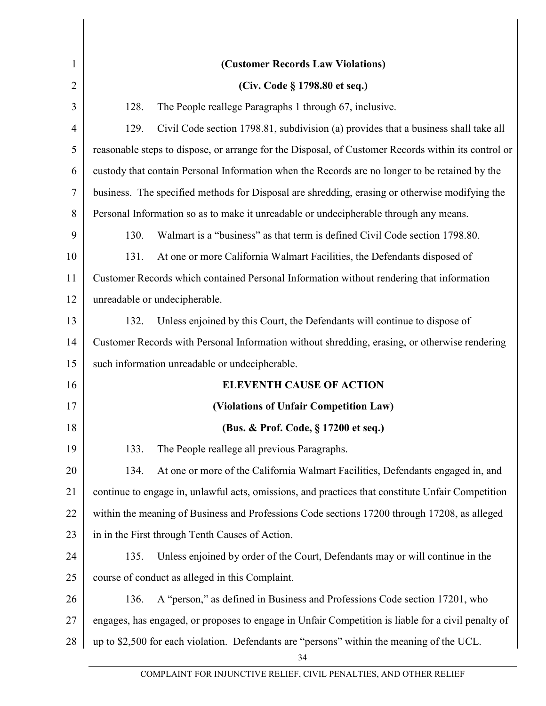| $\mathbf{1}$   | (Customer Records Law Violations)                                                                   |  |  |
|----------------|-----------------------------------------------------------------------------------------------------|--|--|
| $\overline{2}$ | (Civ. Code § 1798.80 et seq.)                                                                       |  |  |
| 3              | 128.<br>The People reallege Paragraphs 1 through 67, inclusive.                                     |  |  |
| 4              | 129.<br>Civil Code section 1798.81, subdivision (a) provides that a business shall take all         |  |  |
| 5              | reasonable steps to dispose, or arrange for the Disposal, of Customer Records within its control or |  |  |
| 6              | custody that contain Personal Information when the Records are no longer to be retained by the      |  |  |
| 7              | business. The specified methods for Disposal are shredding, erasing or otherwise modifying the      |  |  |
| 8              | Personal Information so as to make it unreadable or undecipherable through any means.               |  |  |
| 9              | Walmart is a "business" as that term is defined Civil Code section 1798.80.<br>130.                 |  |  |
| 10             | 131.<br>At one or more California Walmart Facilities, the Defendants disposed of                    |  |  |
| 11             | Customer Records which contained Personal Information without rendering that information            |  |  |
| 12             | unreadable or undecipherable.                                                                       |  |  |
| 13             | Unless enjoined by this Court, the Defendants will continue to dispose of<br>132.                   |  |  |
| 14             | Customer Records with Personal Information without shredding, erasing, or otherwise rendering       |  |  |
| 15             | such information unreadable or undecipherable.                                                      |  |  |
| 16             | <b>ELEVENTH CAUSE OF ACTION</b>                                                                     |  |  |
| 17             | (Violations of Unfair Competition Law)                                                              |  |  |
| 18             | (Bus. & Prof. Code, § 17200 et seq.)                                                                |  |  |
| 19             | The People reallege all previous Paragraphs.<br>133.                                                |  |  |
| 20             | At one or more of the California Walmart Facilities, Defendants engaged in, and<br>134.             |  |  |
| 21             | continue to engage in, unlawful acts, omissions, and practices that constitute Unfair Competition   |  |  |
| 22             | within the meaning of Business and Professions Code sections 17200 through 17208, as alleged        |  |  |
| 23             | in in the First through Tenth Causes of Action.                                                     |  |  |
| 24             | Unless enjoined by order of the Court, Defendants may or will continue in the<br>135.               |  |  |
| 25             | course of conduct as alleged in this Complaint.                                                     |  |  |
| 26             | A "person," as defined in Business and Professions Code section 17201, who<br>136.                  |  |  |
| 27             | engages, has engaged, or proposes to engage in Unfair Competition is liable for a civil penalty of  |  |  |
| 28             | up to \$2,500 for each violation. Defendants are "persons" within the meaning of the UCL.<br>34     |  |  |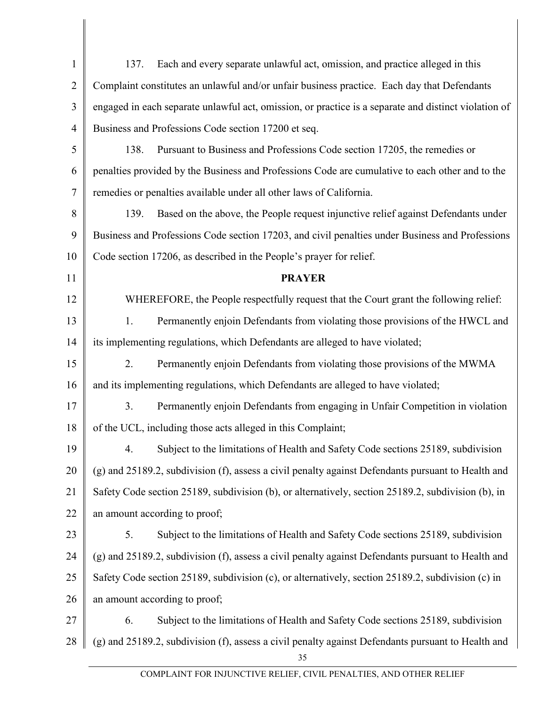| $\mathbf{1}$   | Each and every separate unlawful act, omission, and practice alleged in this<br>137.                 |  |  |
|----------------|------------------------------------------------------------------------------------------------------|--|--|
| $\overline{2}$ | Complaint constitutes an unlawful and/or unfair business practice. Each day that Defendants          |  |  |
| 3              | engaged in each separate unlawful act, omission, or practice is a separate and distinct violation of |  |  |
| 4              | Business and Professions Code section 17200 et seq.                                                  |  |  |
| 5              | Pursuant to Business and Professions Code section 17205, the remedies or<br>138.                     |  |  |
| 6              | penalties provided by the Business and Professions Code are cumulative to each other and to the      |  |  |
| 7              | remedies or penalties available under all other laws of California.                                  |  |  |
| 8              | Based on the above, the People request injunctive relief against Defendants under<br>139.            |  |  |
| 9              | Business and Professions Code section 17203, and civil penalties under Business and Professions      |  |  |
| 10             | Code section 17206, as described in the People's prayer for relief.                                  |  |  |
| 11             | <b>PRAYER</b>                                                                                        |  |  |
| 12             | WHEREFORE, the People respectfully request that the Court grant the following relief:                |  |  |
| 13             | 1.<br>Permanently enjoin Defendants from violating those provisions of the HWCL and                  |  |  |
| 14             | its implementing regulations, which Defendants are alleged to have violated;                         |  |  |
| 15             | 2.<br>Permanently enjoin Defendants from violating those provisions of the MWMA                      |  |  |
| 16             | and its implementing regulations, which Defendants are alleged to have violated;                     |  |  |
| 17             | 3.<br>Permanently enjoin Defendants from engaging in Unfair Competition in violation                 |  |  |
| 18             | of the UCL, including those acts alleged in this Complaint;                                          |  |  |
| 19             | 4. Subject to the limitations of Health and Safety Code sections 25189, subdivision                  |  |  |
| 20             | (g) and 25189.2, subdivision (f), assess a civil penalty against Defendants pursuant to Health and   |  |  |
| 21             | Safety Code section 25189, subdivision (b), or alternatively, section 25189.2, subdivision (b), in   |  |  |
| 22             | an amount according to proof;                                                                        |  |  |
| 23             | Subject to the limitations of Health and Safety Code sections 25189, subdivision<br>5.               |  |  |
| 24             | (g) and 25189.2, subdivision (f), assess a civil penalty against Defendants pursuant to Health and   |  |  |
| 25             | Safety Code section 25189, subdivision (c), or alternatively, section 25189.2, subdivision (c) in    |  |  |
| 26             | an amount according to proof;                                                                        |  |  |
| 27             | Subject to the limitations of Health and Safety Code sections 25189, subdivision<br>6.               |  |  |
| 28             | (g) and 25189.2, subdivision (f), assess a civil penalty against Defendants pursuant to Health and   |  |  |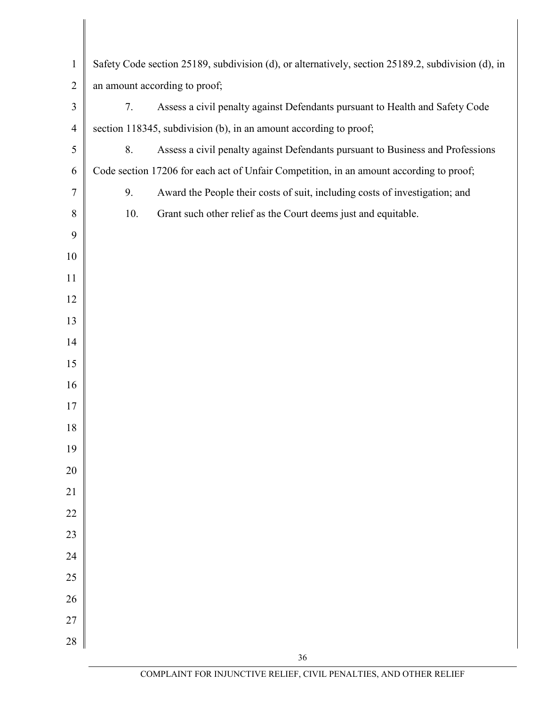| $\mathbf{1}$   | Safety Code section 25189, subdivision (d), or alternatively, section 25189.2, subdivision (d), in                                                |  |  |
|----------------|---------------------------------------------------------------------------------------------------------------------------------------------------|--|--|
| $\overline{2}$ | an amount according to proof;                                                                                                                     |  |  |
| $\mathfrak{Z}$ | 7.                                                                                                                                                |  |  |
| $\overline{4}$ | Assess a civil penalty against Defendants pursuant to Health and Safety Code<br>section 118345, subdivision (b), in an amount according to proof; |  |  |
| 5              | 8.                                                                                                                                                |  |  |
| 6              | Assess a civil penalty against Defendants pursuant to Business and Professions                                                                    |  |  |
|                | Code section 17206 for each act of Unfair Competition, in an amount according to proof;                                                           |  |  |
| $\tau$         | Award the People their costs of suit, including costs of investigation; and<br>9.                                                                 |  |  |
| $8\,$          | 10.<br>Grant such other relief as the Court deems just and equitable.                                                                             |  |  |
| 9              |                                                                                                                                                   |  |  |
| 10             |                                                                                                                                                   |  |  |
| 11             |                                                                                                                                                   |  |  |
| 12             |                                                                                                                                                   |  |  |
| 13             |                                                                                                                                                   |  |  |
| 14             |                                                                                                                                                   |  |  |
| 15             |                                                                                                                                                   |  |  |
| 16             |                                                                                                                                                   |  |  |
| 17             |                                                                                                                                                   |  |  |
| 18             |                                                                                                                                                   |  |  |
| 19             |                                                                                                                                                   |  |  |
| $20\,$         |                                                                                                                                                   |  |  |
| 21             |                                                                                                                                                   |  |  |
| $22\,$         |                                                                                                                                                   |  |  |
| 23             |                                                                                                                                                   |  |  |
| $24\,$         |                                                                                                                                                   |  |  |
| 25             |                                                                                                                                                   |  |  |
| $26\,$         |                                                                                                                                                   |  |  |
| 27             |                                                                                                                                                   |  |  |
| $28\,$         |                                                                                                                                                   |  |  |
|                | 36                                                                                                                                                |  |  |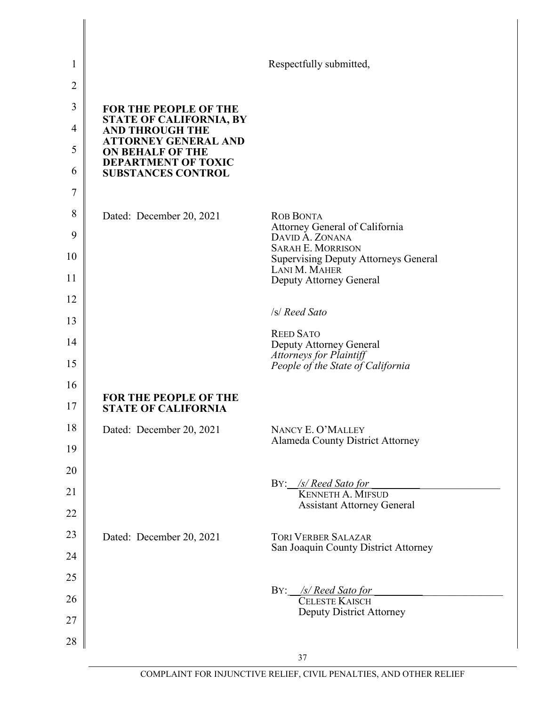| 1              |                                                            | Respectfully submitted,                                                         |
|----------------|------------------------------------------------------------|---------------------------------------------------------------------------------|
| $\overline{2}$ |                                                            |                                                                                 |
| 3              | FOR THE PEOPLE OF THE                                      |                                                                                 |
| $\overline{4}$ | <b>STATE OF CALIFORNIA, BY</b><br><b>AND THROUGH THE</b>   |                                                                                 |
| 5              | <b>ATTORNEY GENERAL AND</b><br><b>ON BEHALF OF THE</b>     |                                                                                 |
| 6              | <b>DEPARTMENT OF TOXIC</b><br><b>SUBSTANCES CONTROL</b>    |                                                                                 |
| 7              |                                                            |                                                                                 |
| 8              | Dated: December 20, 2021                                   | <b>ROB BONTA</b>                                                                |
| 9              |                                                            | Attorney General of California<br>DAVID A. ZONANA                               |
| 10             |                                                            | <b>SARAH E. MORRISON</b><br><b>Supervising Deputy Attorneys General</b>         |
| 11             |                                                            | LANI M. MAHER<br>Deputy Attorney General                                        |
| 12             |                                                            |                                                                                 |
| 13             |                                                            | /s/ Reed Sato                                                                   |
| 14             |                                                            | <b>REED SATO</b><br>Deputy Attorney General                                     |
| 15             |                                                            | <b>Attorneys for Plaintiff</b><br>People of the State of California             |
| 16             |                                                            |                                                                                 |
| 17             | <b>FOR THE PEOPLE OF THE</b><br><b>STATE OF CALIFORNIA</b> |                                                                                 |
| 18             | Dated: December 20, 2021                                   | NANCY E. O'MALLEY                                                               |
| 19             |                                                            | <b>Alameda County District Attorney</b>                                         |
| 20             |                                                            |                                                                                 |
| 21             |                                                            | BY: /s/ Reed Sato for<br>KENNETH A. MIFSUD<br><b>Assistant Attorney General</b> |
| 22             |                                                            |                                                                                 |
| 23             | Dated: December 20, 2021                                   | <b>TORI VERBER SALAZAR</b><br>San Joaquin County District Attorney              |
| 24             |                                                            |                                                                                 |
| 25             |                                                            | BY: /s/ Reed Sato for                                                           |
| 26             |                                                            | CELESTE KAISCH<br><b>Deputy District Attorney</b>                               |
| 27             |                                                            |                                                                                 |
| 28             |                                                            |                                                                                 |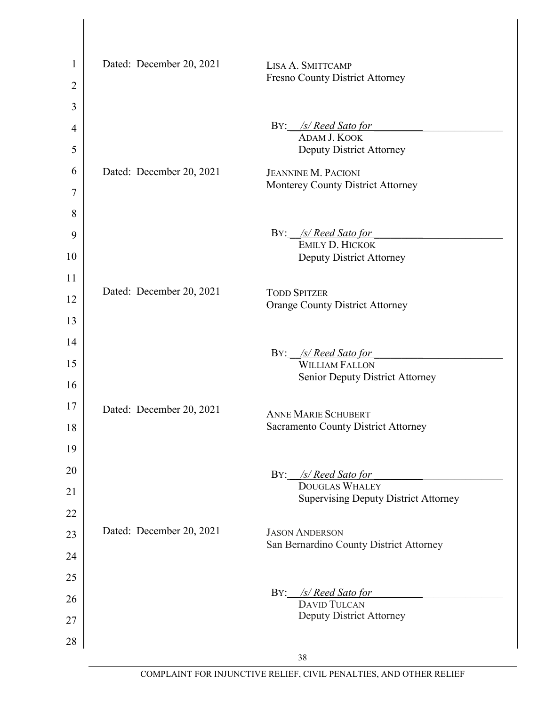| $\mathbf{1}$ | Dated: December 20, 2021 | LISA A. SMITTCAMP                                                    |
|--------------|--------------------------|----------------------------------------------------------------------|
| 2            |                          | <b>Fresno County District Attorney</b>                               |
| 3            |                          |                                                                      |
| 4            |                          | BY: /s/ Reed Sato for                                                |
| 5            |                          | ADAM J. KOOK<br><b>Deputy District Attorney</b>                      |
| 6            | Dated: December 20, 2021 | <b>JEANNINE M. PACIONI</b>                                           |
| 7            |                          | Monterey County District Attorney                                    |
| 8            |                          |                                                                      |
| 9            |                          | BY: /s/ Reed Sato for                                                |
| 10           |                          | EMILY D. HICKOK<br><b>Deputy District Attorney</b>                   |
| 11           |                          |                                                                      |
| 12           | Dated: December 20, 2021 | <b>TODD SPITZER</b><br><b>Orange County District Attorney</b>        |
| 13           |                          |                                                                      |
| 14           |                          |                                                                      |
| 15           |                          | /s/ Reed Sato for<br>BY:<br><b>WILLIAM FALLON</b>                    |
| 16           |                          | <b>Senior Deputy District Attorney</b>                               |
| 17           | Dated: December 20, 2021 | <b>ANNE MARIE SCHUBERT</b>                                           |
| 18           |                          | <b>Sacramento County District Attorney</b>                           |
| 19           |                          |                                                                      |
| 20           |                          | BY: /s/ Reed Sato for                                                |
| 21           |                          | <b>DOUGLAS WHALEY</b><br><b>Supervising Deputy District Attorney</b> |
| 22           |                          |                                                                      |
| 23           | Dated: December 20, 2021 | <b>JASON ANDERSON</b>                                                |
| 24           |                          | San Bernardino County District Attorney                              |
| 25           |                          |                                                                      |
| 26           |                          | BY: /s/ Reed Sato for<br><b>DAVID TULCAN</b>                         |
| 27           |                          | <b>Deputy District Attorney</b>                                      |
| 28           |                          |                                                                      |
|              |                          | 38                                                                   |